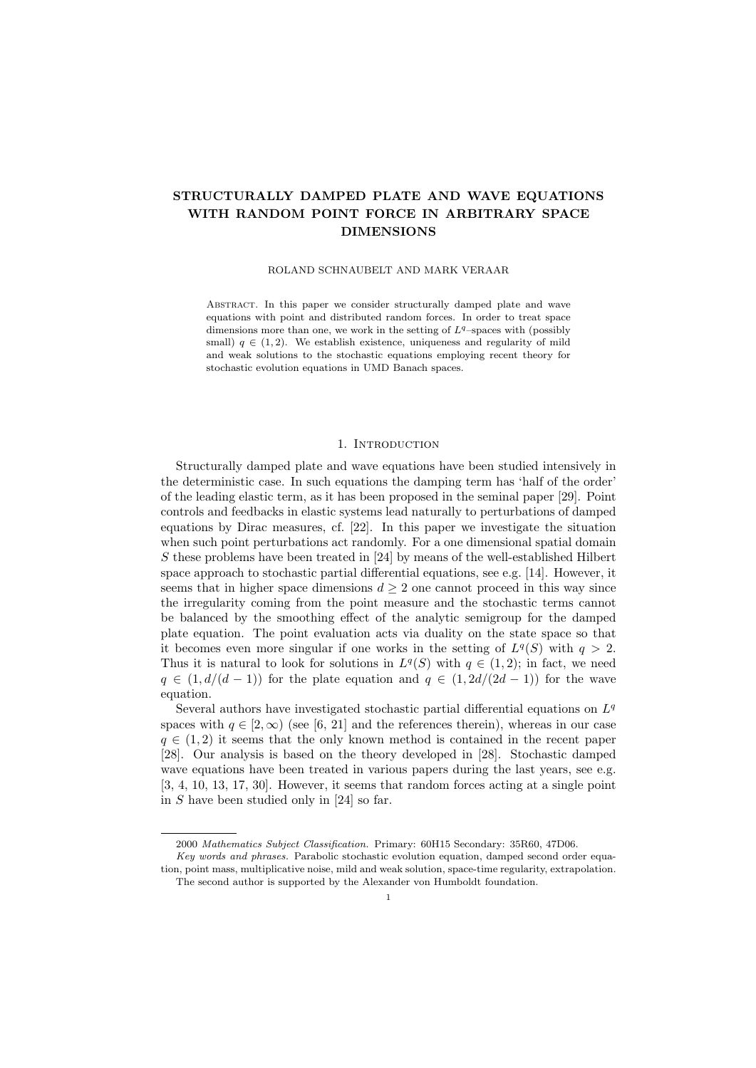# STRUCTURALLY DAMPED PLATE AND WAVE EQUATIONS WITH RANDOM POINT FORCE IN ARBITRARY SPACE DIMENSIONS

## ROLAND SCHNAUBELT AND MARK VERAAR

Abstract. In this paper we consider structurally damped plate and wave equations with point and distributed random forces. In order to treat space dimensions more than one, we work in the setting of  $L<sup>q</sup>$ -spaces with (possibly small)  $q \in (1, 2)$ . We establish existence, uniqueness and regularity of mild and weak solutions to the stochastic equations employing recent theory for stochastic evolution equations in UMD Banach spaces.

# 1. INTRODUCTION

Structurally damped plate and wave equations have been studied intensively in the deterministic case. In such equations the damping term has 'half of the order' of the leading elastic term, as it has been proposed in the seminal paper [29]. Point controls and feedbacks in elastic systems lead naturally to perturbations of damped equations by Dirac measures, cf. [22]. In this paper we investigate the situation when such point perturbations act randomly. For a one dimensional spatial domain S these problems have been treated in  $[24]$  by means of the well-established Hilbert space approach to stochastic partial differential equations, see e.g. [14]. However, it seems that in higher space dimensions  $d \geq 2$  one cannot proceed in this way since the irregularity coming from the point measure and the stochastic terms cannot be balanced by the smoothing effect of the analytic semigroup for the damped plate equation. The point evaluation acts via duality on the state space so that it becomes even more singular if one works in the setting of  $L^q(S)$  with  $q > 2$ . Thus it is natural to look for solutions in  $L^q(S)$  with  $q \in (1,2)$ ; in fact, we need  $q \in (1, d/(d-1))$  for the plate equation and  $q \in (1, 2d/(2d-1))$  for the wave equation.

Several authors have investigated stochastic partial differential equations on  $L^q$ spaces with  $q \in [2,\infty)$  (see [6, 21] and the references therein), whereas in our case  $q \in (1, 2)$  it seems that the only known method is contained in the recent paper [28]. Our analysis is based on the theory developed in [28]. Stochastic damped wave equations have been treated in various papers during the last years, see e.g. [3, 4, 10, 13, 17, 30]. However, it seems that random forces acting at a single point in  $S$  have been studied only in [24] so far.

<sup>2000</sup> Mathematics Subject Classification. Primary: 60H15 Secondary: 35R60, 47D06.

Key words and phrases. Parabolic stochastic evolution equation, damped second order equation, point mass, multiplicative noise, mild and weak solution, space-time regularity, extrapolation. The second author is supported by the Alexander von Humboldt foundation.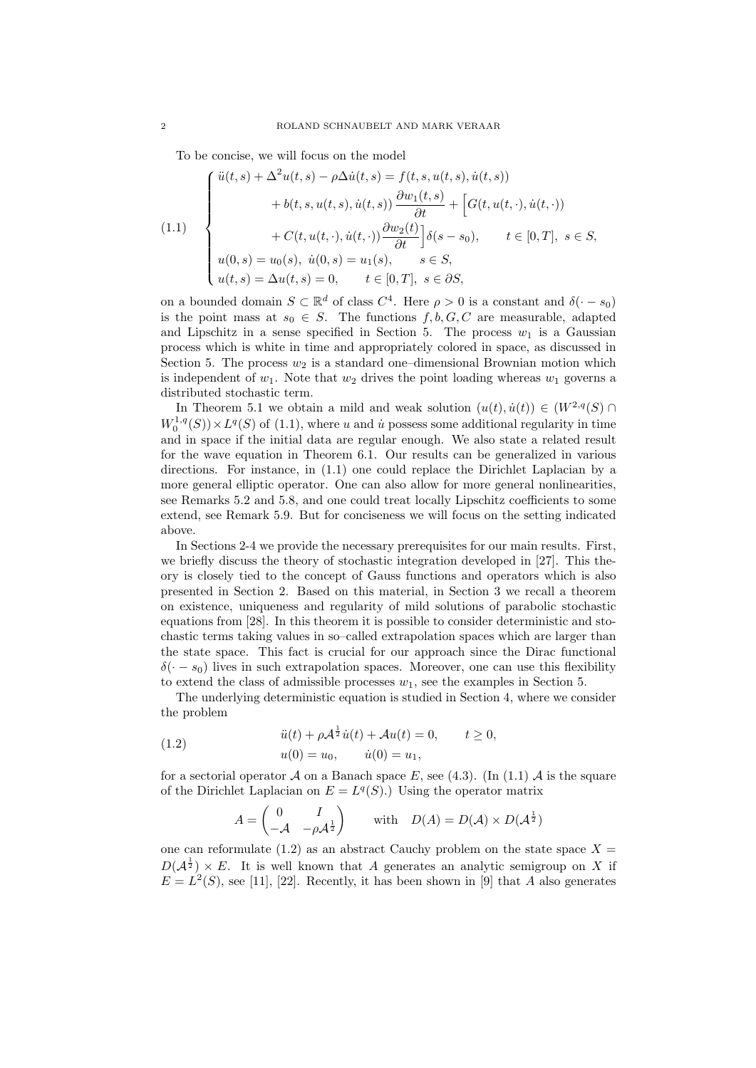To be concise, we will focus on the model

(1.1)  

$$
\begin{cases}\n\ddot{u}(t,s) + \Delta^2 u(t,s) - \rho \Delta \dot{u}(t,s) = f(t,s, u(t,s), \dot{u}(t,s)) \\
+ b(t,s, u(t,s), \dot{u}(t,s)) \frac{\partial w_1(t,s)}{\partial t} + \left[ G(t, u(t,\cdot), \dot{u}(t,\cdot)) \right. \\
+ C(t, u(t,\cdot), \dot{u}(t,\cdot)) \frac{\partial w_2(t)}{\partial t} \right] \delta(s - s_0), \qquad t \in [0,T], \ s \in S, \\
u(0,s) = u_0(s), \ \dot{u}(0,s) = u_1(s), \qquad s \in S, \\
u(t,s) = \Delta u(t,s) = 0, \qquad t \in [0,T], \ s \in \partial S,\n\end{cases}
$$

on a bounded domain  $S \subset \mathbb{R}^d$  of class  $C^4$ . Here  $\rho > 0$  is a constant and  $\delta(\cdot - s_0)$ is the point mass at  $s_0 \in S$ . The functions  $f, b, G, C$  are measurable, adapted and Lipschitz in a sense specified in Section 5. The process  $w_1$  is a Gaussian process which is white in time and appropriately colored in space, as discussed in Section 5. The process  $w_2$  is a standard one–dimensional Brownian motion which is independent of  $w_1$ . Note that  $w_2$  drives the point loading whereas  $w_1$  governs a distributed stochastic term.

In Theorem 5.1 we obtain a mild and weak solution  $(u(t), \dot{u}(t)) \in (W^{2,q}(S) \cap$  $W_0^{1,q}(S) \times L^q(S)$  of (1.1), where u and u possess some additional regularity in time and in space if the initial data are regular enough. We also state a related result for the wave equation in Theorem 6.1. Our results can be generalized in various directions. For instance, in (1.1) one could replace the Dirichlet Laplacian by a more general elliptic operator. One can also allow for more general nonlinearities, see Remarks 5.2 and 5.8, and one could treat locally Lipschitz coefficients to some extend, see Remark 5.9. But for conciseness we will focus on the setting indicated above.

In Sections 2-4 we provide the necessary prerequisites for our main results. First, we briefly discuss the theory of stochastic integration developed in [27]. This theory is closely tied to the concept of Gauss functions and operators which is also presented in Section 2. Based on this material, in Section 3 we recall a theorem on existence, uniqueness and regularity of mild solutions of parabolic stochastic equations from [28]. In this theorem it is possible to consider deterministic and stochastic terms taking values in so–called extrapolation spaces which are larger than the state space. This fact is crucial for our approach since the Dirac functional  $\delta(-s_0)$  lives in such extrapolation spaces. Moreover, one can use this flexibility to extend the class of admissible processes  $w_1$ , see the examples in Section 5.

The underlying deterministic equation is studied in Section 4, where we consider the problem

(1.2) 
$$
\ddot{u}(t) + \rho \mathcal{A}^{\frac{1}{2}} \dot{u}(t) + \mathcal{A}u(t) = 0, \qquad t \ge 0, \nu(0) = u_0, \qquad \dot{u}(0) = u_1,
$$

for a sectorial operator A on a Banach space E, see (4.3). (In (1.1) A is the square of the Dirichlet Laplacian on  $E = L<sup>q</sup>(S)$ . Using the operator matrix

$$
A = \begin{pmatrix} 0 & I \\ -\mathcal{A} & -\rho \mathcal{A}^{\frac{1}{2}} \end{pmatrix} \quad \text{with} \quad D(A) = D(\mathcal{A}) \times D(\mathcal{A}^{\frac{1}{2}})
$$

one can reformulate  $(1.2)$  as an abstract Cauchy problem on the state space  $X =$  $D(\mathcal{A}^{\frac{1}{2}}) \times E$ . It is well known that A generates an analytic semigroup on X if  $E = L<sup>2</sup>(S)$ , see [11], [22]. Recently, it has been shown in [9] that A also generates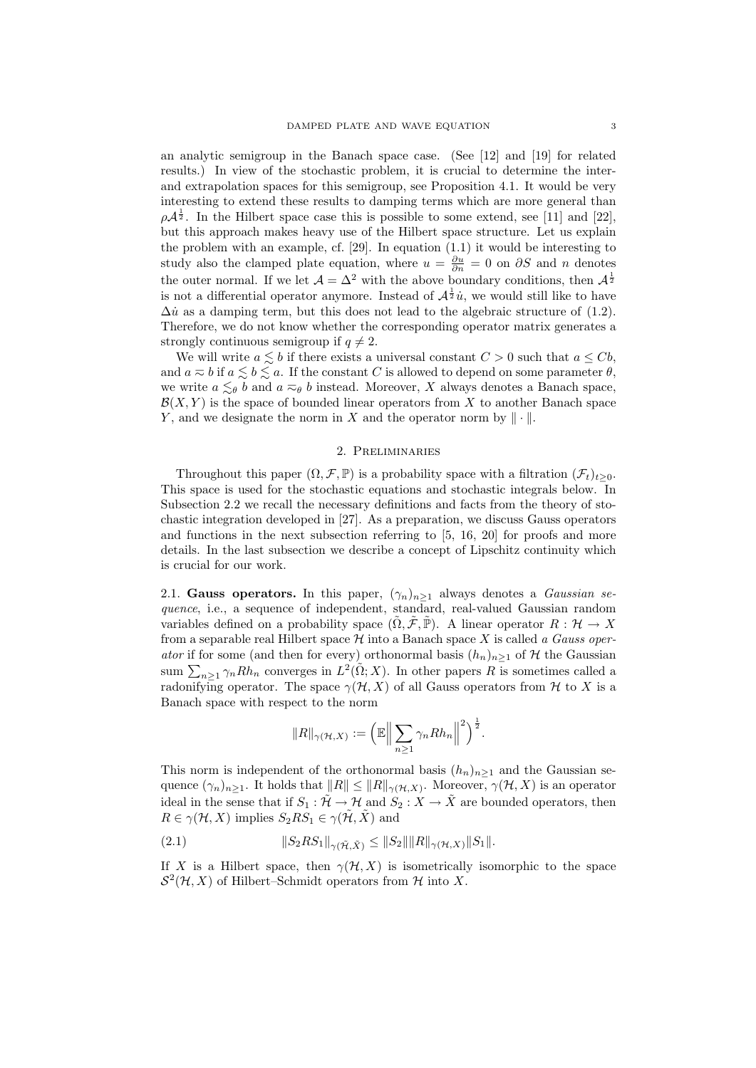an analytic semigroup in the Banach space case. (See [12] and [19] for related results.) In view of the stochastic problem, it is crucial to determine the interand extrapolation spaces for this semigroup, see Proposition 4.1. It would be very interesting to extend these results to damping terms which are more general than  $\rho \mathcal{A}^{\frac{1}{2}}$ . In the Hilbert space case this is possible to some extend, see [11] and [22], but this approach makes heavy use of the Hilbert space structure. Let us explain the problem with an example, cf. [29]. In equation (1.1) it would be interesting to study also the clamped plate equation, where  $u = \frac{\partial u}{\partial n} = 0$  on  $\partial S$  and n denotes the outer normal. If we let  $\mathcal{A} = \Delta^2$  with the above boundary conditions, then  $\mathcal{A}^{\frac{1}{2}}$ is not a differential operator anymore. Instead of  $\mathcal{A}^{\frac{1}{2}}\dot{u}$ , we would still like to have  $\Delta \dot{u}$  as a damping term, but this does not lead to the algebraic structure of (1.2). Therefore, we do not know whether the corresponding operator matrix generates a strongly continuous semigroup if  $q \neq 2$ .

We will write  $a \leq b$  if there exists a universal constant  $C > 0$  such that  $a \leq Cb$ , and  $a \approx b$  if  $a \leq b \leq a$ . If the constant C is allowed to depend on some parameter  $\theta$ , we write  $a \lesssim_{\theta} b$  and  $a \eqsim_{\theta} b$  instead. Moreover, X always denotes a Banach space,  $\mathcal{B}(X, Y)$  is the space of bounded linear operators from X to another Banach space Y, and we designate the norm in X and the operator norm by  $\|\cdot\|$ .

## 2. Preliminaries

Throughout this paper  $(\Omega, \mathcal{F}, \mathbb{P})$  is a probability space with a filtration  $(\mathcal{F}_t)_{t>0}$ . This space is used for the stochastic equations and stochastic integrals below. In Subsection 2.2 we recall the necessary definitions and facts from the theory of stochastic integration developed in [27]. As a preparation, we discuss Gauss operators and functions in the next subsection referring to [5, 16, 20] for proofs and more details. In the last subsection we describe a concept of Lipschitz continuity which is crucial for our work.

2.1. Gauss operators. In this paper,  $(\gamma_n)_{n>1}$  always denotes a *Gaussian se*quence, i.e., a sequence of independent, standard, real-valued Gaussian random variables defined on a probability space  $(\tilde{\Omega}, \tilde{\mathcal{F}}, \tilde{\mathbb{P}})$ . A linear operator  $R : \mathcal{H} \to X$ from a separable real Hilbert space  $\mathcal H$  into a Banach space X is called a Gauss operator if for some (and then for every) orthonormal basis  $(h_n)_{n\geq 1}$  of H the Gaussian sum  $\sum_{n\geq 1} \gamma_n Rh_n$  converges in  $L^2(\tilde{\Omega};X)$ . In other papers R is sometimes called a radonifying operator. The space  $\gamma(\mathcal{H}, X)$  of all Gauss operators from  $\mathcal H$  to X is a Banach space with respect to the norm

$$
||R||_{\gamma(\mathcal{H},X)} := \left(\mathbb{E}\Big\|\sum_{n\geq 1}\gamma_nRh_n\Big\|^2\right)^{\frac{1}{2}}.
$$

This norm is independent of the orthonormal basis  $(h_n)_{n\geq 1}$  and the Gaussian sequence  $(\gamma_n)_{n\geq 1}$ . It holds that  $||R|| \leq ||R||_{\gamma(\mathcal{H},X)}$ . Moreover,  $\gamma(\mathcal{H},X)$  is an operator ideal in the sense that if  $S_1 : \tilde{\mathcal{H}} \to \mathcal{H}$  and  $S_2 : X \to \tilde{X}$  are bounded operators, then  $R \in \gamma(\mathcal{H}, X)$  implies  $S_2RS_1 \in \gamma(\tilde{\mathcal{H}}, \tilde{X})$  and

(2.1) 
$$
||S_2RS_1||_{\gamma(\tilde{\mathcal{H}}, \tilde{X})} \le ||S_2|| ||R||_{\gamma(\mathcal{H}, X)} ||S_1||.
$$

If X is a Hilbert space, then  $\gamma(\mathcal{H}, X)$  is isometrically isomorphic to the space  $S^2(\mathcal{H}, X)$  of Hilbert–Schmidt operators from  $\mathcal{H}$  into X.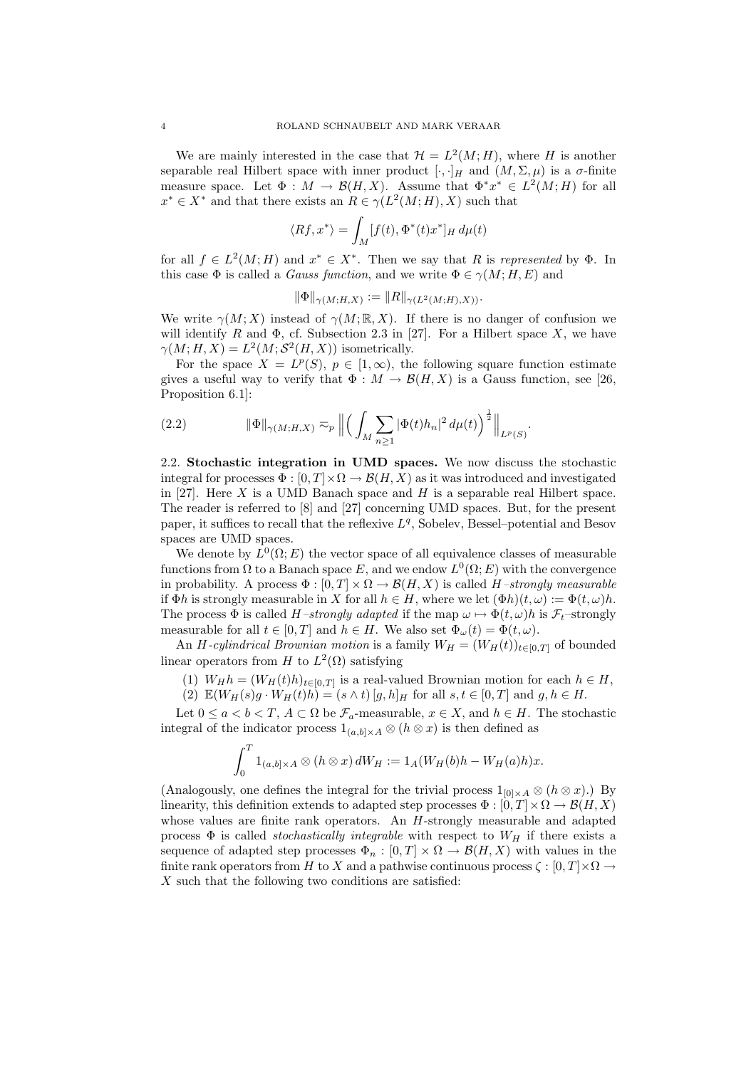We are mainly interested in the case that  $\mathcal{H} = L^2(M; H)$ , where H is another separable real Hilbert space with inner product  $[\cdot, \cdot]_H$  and  $(M, \Sigma, \mu)$  is a  $\sigma$ -finite measure space. Let  $\Phi : M \to \mathcal{B}(H, X)$ . Assume that  $\Phi^* x^* \in L^2(M; H)$  for all  $x^* \in X^*$  and that there exists an  $R \in \gamma(L^2(M; H), X)$  such that

$$
\langle Rf, x^* \rangle = \int_M [f(t), \Phi^*(t)x^*]_H d\mu(t)
$$

for all  $f \in L^2(M; H)$  and  $x^* \in X^*$ . Then we say that R is represented by  $\Phi$ . In this case  $\Phi$  is called a *Gauss function*, and we write  $\Phi \in \gamma(M; H, E)$  and

$$
\|\Phi\|_{\gamma(M;H,X)} := \|R\|_{\gamma(L^2(M;H),X))}.
$$

We write  $\gamma(M; X)$  instead of  $\gamma(M; \mathbb{R}, X)$ . If there is no danger of confusion we will identify R and  $\Phi$ , cf. Subsection 2.3 in [27]. For a Hilbert space X, we have  $\gamma(M; H, X) = L^2(M; \mathcal{S}^2(H, X))$  isometrically.

For the space  $X = L^p(S)$ ,  $p \in [1, \infty)$ , the following square function estimate gives a useful way to verify that  $\Phi : M \to \mathcal{B}(H, X)$  is a Gauss function, see [26, Proposition 6.1]:

(2.2) 
$$
\|\Phi\|_{\gamma(M;H,X)} \approx_{p} \left\| \left( \int_{M} \sum_{n\geq 1} |\Phi(t)h_{n}|^{2} d\mu(t) \right)^{\frac{1}{2}} \right\|_{L^{p}(S)}.
$$

2.2. Stochastic integration in UMD spaces. We now discuss the stochastic integral for processes  $\Phi : [0, T] \times \Omega \to \mathcal{B}(H, X)$  as it was introduced and investigated in [27]. Here  $X$  is a UMD Banach space and  $H$  is a separable real Hilbert space. The reader is referred to [8] and [27] concerning UMD spaces. But, for the present paper, it suffices to recall that the reflexive  $L<sup>q</sup>$ , Sobelev, Bessel-potential and Besov spaces are UMD spaces.

We denote by  $L^0(\Omega; E)$  the vector space of all equivalence classes of measurable functions from  $\Omega$  to a Banach space E, and we endow  $L^0(\Omega; E)$  with the convergence in probability. A process  $\Phi : [0, T] \times \Omega \to \mathcal{B}(H, X)$  is called H-strongly measurable if  $\Phi h$  is strongly measurable in X for all  $h \in H$ , where we let  $(\Phi h)(t, \omega) := \Phi(t, \omega)h$ . The process  $\Phi$  is called H–strongly adapted if the map  $\omega \mapsto \Phi(t, \omega)h$  is  $\mathcal{F}_t$ –strongly measurable for all  $t \in [0, T]$  and  $h \in H$ . We also set  $\Phi_{\omega}(t) = \Phi(t, \omega)$ .

An H-cylindrical Brownian motion is a family  $W_H = (W_H(t))_{t \in [0,T]}$  of bounded linear operators from H to  $L^2(\Omega)$  satisfying

- (1)  $W_H h = (W_H(t)h)_{t \in [0,T]}$  is a real-valued Brownian motion for each  $h \in H$ ,
- (2)  $\mathbb{E}(W_H(s)g \cdot W_H(t)h) = (s \wedge t) [g, h]_H$  for all  $s, t \in [0, T]$  and  $g, h \in H$ .

Let  $0 \le a < b < T$ ,  $A \subset \Omega$  be  $\mathcal{F}_a$ -measurable,  $x \in X$ , and  $h \in H$ . The stochastic integral of the indicator process  $1_{(a,b]\times A} \otimes (h \otimes x)$  is then defined as

$$
\int_0^T 1_{(a,b] \times A} \otimes (h \otimes x) dW_H := 1_A (W_H(b)h - W_H(a)h)x.
$$

(Analogously, one defines the integral for the trivial process  $1_{[0]\times A} \otimes (h \otimes x)$ .) By linearity, this definition extends to adapted step processes  $\Phi : [0, T] \times \Omega \to \mathcal{B}(H, X)$ whose values are finite rank operators. An H-strongly measurable and adapted process  $\Phi$  is called *stochastically integrable* with respect to  $W_H$  if there exists a sequence of adapted step processes  $\Phi_n : [0, T] \times \Omega \to \mathcal{B}(H, X)$  with values in the finite rank operators from H to X and a pathwise continuous process  $\zeta : [0, T] \times \Omega \rightarrow$  $X$  such that the following two conditions are satisfied: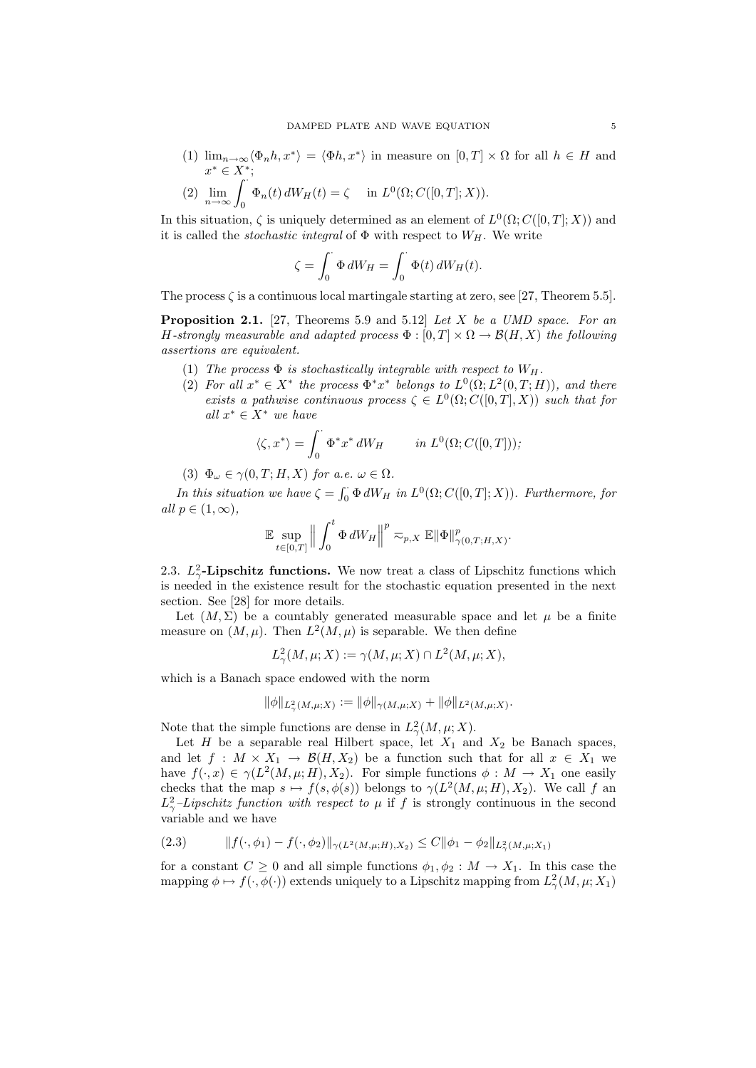- (1)  $\lim_{n\to\infty} \langle \Phi_n h, x^* \rangle = \langle \Phi h, x^* \rangle$  in measure on  $[0, T] \times \Omega$  for all  $h \in H$  and  $x^* \in X^*$ ;
- (2)  $\lim_{n \to \infty} \int_0^{\infty} \Phi_n(t) dW_H(t) = \zeta \text{ in } L^0(\Omega; C([0, T]; X)).$

In this situation,  $\zeta$  is uniquely determined as an element of  $L^0(\Omega; C([0, T]; X))$  and it is called the *stochastic integral* of  $\Phi$  with respect to  $W_H$ . We write

$$
\zeta = \int_0^{\cdot} \Phi \, dW_H = \int_0^{\cdot} \Phi(t) \, dW_H(t).
$$

The process  $\zeta$  is a continuous local martingale starting at zero, see [27, Theorem 5.5].

**Proposition 2.1.** [27, Theorems 5.9 and 5.12] Let X be a UMD space. For an H-strongly measurable and adapted process  $\Phi : [0,T] \times \Omega \to \mathcal{B}(H,X)$  the following assertions are equivalent.

- (1) The process  $\Phi$  is stochastically integrable with respect to  $W_H$ .
- (2) For all  $x^* \in X^*$  the process  $\Phi^* x^*$  belongs to  $L^0(\Omega; L^2(0,T;H))$ , and there exists a pathwise continuous process  $\zeta \in L^0(\Omega; C([0,T], X))$  such that for all  $x^* \in X^*$  we have

$$
\langle \zeta, x^* \rangle = \int_0^\cdot \Phi^* x^* dW_H \qquad in \ L^0(\Omega; C([0, T])),
$$

(3)  $\Phi_{\omega} \in \gamma(0,T;H,X)$  for a.e.  $\omega \in \Omega$ .

In this situation we have  $\zeta = \int_0^{\cdot} \Phi dW_H$  in  $L^0(\Omega; C([0, T]; X))$ . Furthermore, for all  $p \in (1,\infty)$ ,

$$
\mathbb{E} \sup_{t \in [0,T]} \left\| \int_0^t \Phi \, dW_H \right\|^p \eqsim_{p,X} \mathbb{E} \|\Phi\|_{\gamma(0,T;H,X)}^p.
$$

2.3.  $L^2_{\gamma}$ -Lipschitz functions. We now treat a class of Lipschitz functions which is needed in the existence result for the stochastic equation presented in the next section. See [28] for more details.

Let  $(M, \Sigma)$  be a countably generated measurable space and let  $\mu$  be a finite measure on  $(M, \mu)$ . Then  $L^2(M, \mu)$  is separable. We then define

$$
L^2_{\gamma}(M,\mu;X) := \gamma(M,\mu;X) \cap L^2(M,\mu;X),
$$

which is a Banach space endowed with the norm

$$
\|\phi\|_{L^2(\mathcal{M},\mu;X)} := \|\phi\|_{\gamma(M,\mu;X)} + \|\phi\|_{L^2(\mathcal{M},\mu;X)}.
$$

Note that the simple functions are dense in  $L^2_{\gamma}(M,\mu;X)$ .

Let H be a separable real Hilbert space, let  $X_1$  and  $X_2$  be Banach spaces, and let  $f: M \times X_1 \to \mathcal{B}(H, X_2)$  be a function such that for all  $x \in X_1$  we have  $f(\cdot, x) \in \gamma(L^2(M, \mu; H), X_2)$ . For simple functions  $\phi: M \to X_1$  one easily checks that the map  $s \mapsto f(s, \phi(s))$  belongs to  $\gamma(L^2(M, \mu; H), X_2)$ . We call f an  $L^2_{\gamma}$ -Lipschitz function with respect to  $\mu$  if f is strongly continuous in the second variable and we have

$$
(2.3) \t\t ||f(\cdot, \phi_1) - f(\cdot, \phi_2)||_{\gamma(L^2(M, \mu; H), X_2)} \le C ||\phi_1 - \phi_2||_{L^2(\mathcal{M}, \mu; X_1)}
$$

for a constant  $C \geq 0$  and all simple functions  $\phi_1, \phi_2 : M \to X_1$ . In this case the mapping  $\phi \mapsto f(\cdot, \phi(\cdot))$  extends uniquely to a Lipschitz mapping from  $L^2_{\gamma}(M, \mu; X_1)$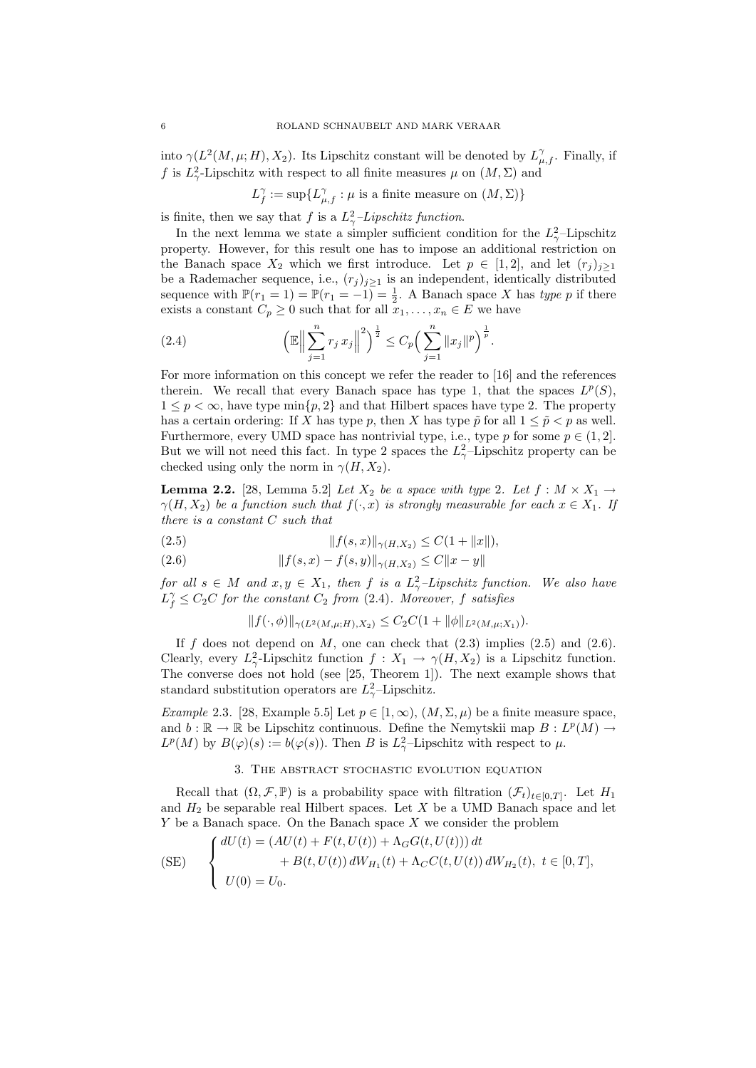into  $\gamma(L^2(M,\mu;H), X_2)$ . Its Lipschitz constant will be denoted by  $L_{\mu,f}^{\gamma}$ . Finally, if f is  $L^2_\gamma$ -Lipschitz with respect to all finite measures  $\mu$  on  $(M,\Sigma)$  and

 $L_f^{\gamma} := \sup \{ L_{\mu,f}^{\gamma} : \mu \text{ is a finite measure on } (M,\Sigma) \}$ 

is finite, then we say that f is a  $L^2_{\gamma}$ -Lipschitz function.

In the next lemma we state a simpler sufficient condition for the  $L^2_{\gamma}$ -Lipschitz property. However, for this result one has to impose an additional restriction on the Banach space  $X_2$  which we first introduce. Let  $p \in [1,2]$ , and let  $(r_j)_{j\geq 1}$ be a Rademacher sequence, i.e.,  $(r_j)_{j\geq 1}$  is an independent, identically distributed sequence with  $\mathbb{P}(r_1 = 1) = \mathbb{P}(r_1 = -1) = \frac{1}{2}$ . A Banach space X has type p if there exists a constant  $C_p \geq 0$  such that for all  $x_1, \ldots, x_n \in E$  we have

(2.4) 
$$
\left(\mathbb{E}\Big\|\sum_{j=1}^n r_j x_j\Big\|^2\right)^{\frac{1}{2}} \leq C_p \left(\sum_{j=1}^n \|x_j\|^p\right)^{\frac{1}{p}}.
$$

For more information on this concept we refer the reader to [16] and the references therein. We recall that every Banach space has type 1, that the spaces  $L^p(S)$ ,  $1 \leq p < \infty$ , have type min $\{p, 2\}$  and that Hilbert spaces have type 2. The property has a certain ordering: If X has type p, then X has type  $\tilde{p}$  for all  $1 \leq \tilde{p} < p$  as well. Furthermore, every UMD space has nontrivial type, i.e., type p for some  $p \in (1,2]$ . But we will not need this fact. In type 2 spaces the  $L^2_{\gamma}$ -Lipschitz property can be checked using only the norm in  $\gamma(H, X_2)$ .

**Lemma 2.2.** [28, Lemma 5.2] Let  $X_2$  be a space with type 2. Let  $f : M \times X_1 \rightarrow$  $\gamma(H, X_2)$  be a function such that  $f(\cdot, x)$  is strongly measurable for each  $x \in X_1$ . If there is a constant C such that

(2.5) 
$$
||f(s,x)||_{\gamma(H,X_2)} \leq C(1+||x||),
$$

(2.6) 
$$
||f(s,x) - f(s,y)||_{\gamma(H,X_2)} \leq C||x - y||
$$

for all  $s \in M$  and  $x, y \in X_1$ , then f is a  $L^2_{\gamma}$ -Lipschitz function. We also have  $L_f^{\gamma} \leq C_2 C$  for the constant  $C_2$  from (2.4). Moreover, f satisfies

$$
||f(\cdot,\phi)||_{\gamma(L^2(M,\mu;H),X_2)} \leq C_2 C(1+||\phi||_{L^2(M,\mu;X_1)}).
$$

If f does not depend on  $M$ , one can check that  $(2.3)$  implies  $(2.5)$  and  $(2.6)$ . Clearly, every  $L^2_{\gamma}$ -Lipschitz function  $f: X_1 \to \gamma(H, X_2)$  is a Lipschitz function. The converse does not hold (see [25, Theorem 1]). The next example shows that standard substitution operators are  $L^2_\gamma$ -Lipschitz.

Example 2.3. [28, Example 5.5] Let  $p \in [1,\infty)$ ,  $(M,\Sigma,\mu)$  be a finite measure space, and  $b : \mathbb{R} \to \mathbb{R}$  be Lipschitz continuous. Define the Nemytskii map  $B : L^p(M) \to$  $L^p(M)$  by  $B(\varphi)(s) := b(\varphi(s))$ . Then B is  $L^2_\gamma$ -Lipschitz with respect to  $\mu$ .

# 3. The abstract stochastic evolution equation

Recall that  $(\Omega, \mathcal{F}, \mathbb{P})$  is a probability space with filtration  $(\mathcal{F}_t)_{t \in [0,T]}$ . Let  $H_1$ and  $H_2$  be separable real Hilbert spaces. Let  $X$  be a UMD Banach space and let  $Y$  be a Banach space. On the Banach space  $X$  we consider the problem

$$
\text{(SE)} \quad \begin{cases} \begin{aligned} dU(t) &= \left( AU(t) + F(t, U(t)) + \Lambda_G G(t, U(t)) \right) dt \\ &+ B(t, U(t)) \, dW_{H_1}(t) + \Lambda_C C(t, U(t)) \, dW_{H_2}(t), \ t \in [0, T], \\ U(0) &= U_0. \end{aligned} \end{cases}
$$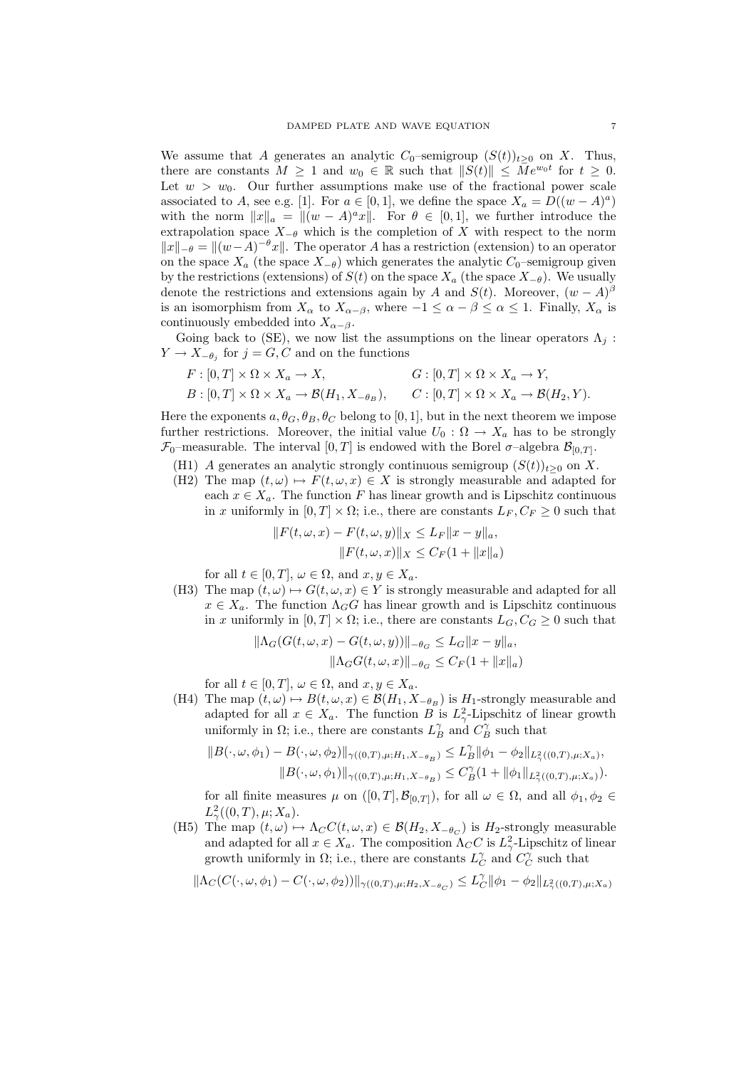We assume that A generates an analytic  $C_0$ –semigroup  $(S(t))_{t>0}$  on X. Thus, there are constants  $M \geq 1$  and  $w_0 \in \mathbb{R}$  such that  $||S(t)|| \leq M e^{w_0 t}$  for  $t \geq 0$ . Let  $w > w_0$ . Our further assumptions make use of the fractional power scale associated to A, see e.g. [1]. For  $a \in [0,1]$ , we define the space  $X_a = D((w - A)^a)$ with the norm  $||x||_a = ||(w - A)^a x||$ . For  $\theta \in [0, 1]$ , we further introduce the extrapolation space  $X_{-\theta}$  which is the completion of X with respect to the norm  $||x||_{-\theta} = ||(w-A)^{-\theta}x||$ . The operator A has a restriction (extension) to an operator on the space  $X_a$  (the space  $X_{-\theta}$ ) which generates the analytic  $C_0$ –semigroup given by the restrictions (extensions) of  $S(t)$  on the space  $X_a$  (the space  $X_{-\theta}$ ). We usually denote the restrictions and extensions again by A and  $S(t)$ . Moreover,  $(w - A)^{\beta}$ is an isomorphism from  $X_{\alpha}$  to  $X_{\alpha-\beta}$ , where  $-1 \leq \alpha - \beta \leq \alpha \leq 1$ . Finally,  $X_{\alpha}$  is continuously embedded into  $X_{\alpha-\beta}$ .

Going back to (SE), we now list the assumptions on the linear operators  $\Lambda_i$ :  $Y \to X_{-\theta_j}$  for  $j = G, C$  and on the functions

$$
F: [0, T] \times \Omega \times X_a \to X, \qquad G: [0, T] \times \Omega \times X_a \to Y,
$$
  
\n
$$
B: [0, T] \times \Omega \times X_a \to \mathcal{B}(H_1, X_{-\theta_B}), \qquad C: [0, T] \times \Omega \times X_a \to \mathcal{B}(H_2, Y).
$$

Here the exponents  $a, \theta_G, \theta_B, \theta_C$  belong to [0, 1], but in the next theorem we impose further restrictions. Moreover, the initial value  $U_0$ :  $\Omega \to X_a$  has to be strongly  $\mathcal{F}_0$ -measurable. The interval  $[0,T]$  is endowed with the Borel  $\sigma$ -algebra  $\mathcal{B}_{[0,T]}$ .

- (H1) A generates an analytic strongly continuous semigroup  $(S(t))_{t\geq0}$  on X.
- (H2) The map  $(t, \omega) \mapsto F(t, \omega, x) \in X$  is strongly measurable and adapted for each  $x \in X_a$ . The function F has linear growth and is Lipschitz continuous in x uniformly in  $[0, T] \times \Omega$ ; i.e., there are constants  $L_F, C_F \geq 0$  such that

$$
||F(t, \omega, x) - F(t, \omega, y)||_X \le L_F ||x - y||_a,
$$
  

$$
||F(t, \omega, x)||_X \le C_F (1 + ||x||_a)
$$

for all  $t \in [0, T]$ ,  $\omega \in \Omega$ , and  $x, y \in X_a$ .

(H3) The map  $(t, \omega) \mapsto G(t, \omega, x) \in Y$  is strongly measurable and adapted for all  $x \in X_a$ . The function  $\Lambda_G G$  has linear growth and is Lipschitz continuous in x uniformly in  $[0, T] \times \Omega$ ; i.e., there are constants  $L_G$ ,  $C_G \geq 0$  such that

$$
\|\Lambda_G(G(t,\omega,x) - G(t,\omega,y))\|_{-\theta_G} \le L_G \|x - y\|_a,
$$
  

$$
\|\Lambda_GG(t,\omega,x)\|_{-\theta_G} \le C_F(1 + \|x\|_a)
$$

for all  $t \in [0, T]$ ,  $\omega \in \Omega$ , and  $x, y \in X_a$ .

(H4) The map  $(t, \omega) \mapsto B(t, \omega, x) \in \mathcal{B}(H_1, X_{-\theta_B})$  is  $H_1$ -strongly measurable and adapted for all  $x \in X_a$ . The function B is  $L^2_\gamma$ -Lipschitz of linear growth uniformly in  $\Omega$ ; i.e., there are constants  $L_B^{\gamma}$  and  $C_B^{\gamma}$  such that

$$
||B(\cdot,\omega,\phi_1)-B(\cdot,\omega,\phi_2)||_{\gamma((0,T),\mu;H_1,X_{-\theta_B})}\leq L_B^{\gamma}||\phi_1-\phi_2||_{L_{\gamma}^2((0,T),\mu;X_a)},
$$
  

$$
||B(\cdot,\omega,\phi_1)||_{\gamma((0,T),\mu;H_1,X_{-\theta_B})}\leq C_B^{\gamma}(1+||\phi_1||_{L_{\gamma}^2((0,T),\mu;X_a)}).
$$

for all finite measures  $\mu$  on  $([0, T], \mathcal{B}_{[0,T]})$ , for all  $\omega \in \Omega$ , and all  $\phi_1, \phi_2 \in$  $L^2_{\gamma}((0,T),\mu;X_a).$ 

(H5) The map  $(t, \omega) \mapsto \Lambda_C C(t, \omega, x) \in \mathcal{B}(H_2, X_{-\theta_C})$  is  $H_2$ -strongly measurable and adapted for all  $x \in X_a$ . The composition  $\Lambda_C C$  is  $L^2_\gamma$ -Lipschitz of linear growth uniformly in  $\Omega$ ; i.e., there are constants  $L_C^{\gamma}$  and  $C_C^{\gamma}$  such that

$$
\|\Lambda_C(C(\cdot,\omega,\phi_1)-C(\cdot,\omega,\phi_2))\|_{\gamma((0,T),\mu;H_2,X-\theta_C)}\leq L_C^\gamma\|\phi_1-\phi_2\|_{L^2_\gamma((0,T),\mu;X_a)}
$$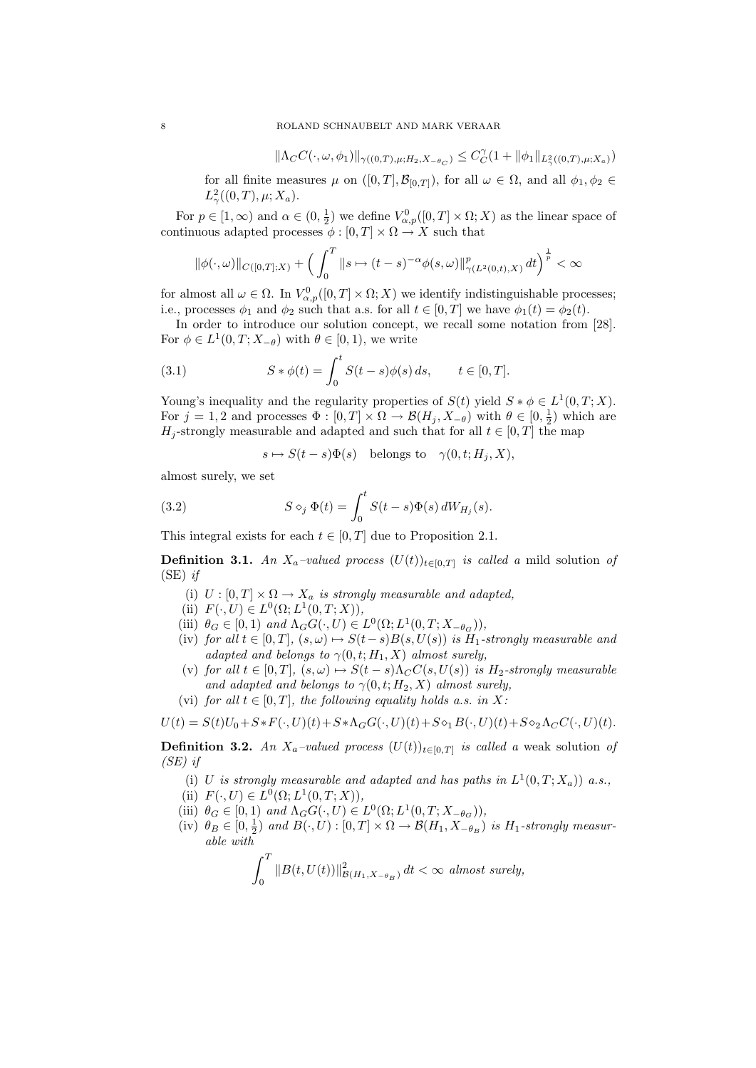$$
\|\Lambda_C C(\cdot,\omega,\phi_1)\|_{\gamma((0,T),\mu;H_2,X_{-\theta_C})}\leq C_C^\gamma(1+\|\phi_1\|_{L^2_\gamma((0,T),\mu;X_a)})
$$

for all finite measures  $\mu$  on  $([0, T], \mathcal{B}_{[0,T]})$ , for all  $\omega \in \Omega$ , and all  $\phi_1, \phi_2 \in$  $L^2_{\gamma}((0,T),\mu;X_a).$ 

For  $p \in [1, \infty)$  and  $\alpha \in (0, \frac{1}{2})$  we define  $V^0_{\alpha, p}([0, T] \times \Omega; X)$  as the linear space of continuous adapted processes  $\phi : [0, T] \times \Omega \rightarrow X$  such that

$$
\|\phi(\cdot,\omega)\|_{C([0,T];X)} + \Big(\int_0^T \|s\mapsto (t-s)^{-\alpha}\phi(s,\omega)\|_{\gamma(L^2(0,t),X)}^p dt\Big)^{\frac{1}{p}} < \infty
$$

for almost all  $\omega \in \Omega$ . In  $V^0_{\alpha,p}([0,T] \times \Omega; X)$  we identify indistinguishable processes; i.e., processes  $\phi_1$  and  $\phi_2$  such that a.s. for all  $t \in [0, T]$  we have  $\phi_1(t) = \phi_2(t)$ .

In order to introduce our solution concept, we recall some notation from [28]. For  $\phi \in L^1(0,T;X_{-\theta})$  with  $\theta \in [0,1)$ , we write

(3.1) 
$$
S * \phi(t) = \int_0^t S(t - s) \phi(s) ds, \qquad t \in [0, T].
$$

Young's inequality and the regularity properties of  $S(t)$  yield  $S * \phi \in L^1(0,T;X)$ . For  $j = 1, 2$  and processes  $\Phi : [0, T] \times \Omega \to \mathcal{B}(H_j, X_{-\theta})$  with  $\theta \in [0, \frac{1}{2})$  which are  $H_j$ -strongly measurable and adapted and such that for all  $t \in [0, T]$  the map

$$
s \mapsto S(t-s)\Phi(s)
$$
 belongs to  $\gamma(0, t; H_j, X)$ ,

almost surely, we set

(3.2) 
$$
S \diamond_j \Phi(t) = \int_0^t S(t-s)\Phi(s) dW_{H_j}(s).
$$

This integral exists for each  $t \in [0, T]$  due to Proposition 2.1.

**Definition 3.1.** An  $X_a$ -valued process  $(U(t))_{t\in[0,T]}$  is called a mild solution of  $(SE)$  if

- (i)  $U : [0, T] \times \Omega \rightarrow X_a$  is strongly measurable and adapted,
- (ii)  $F(\cdot, U) \in L^0(\Omega; L^1(0,T;X)),$
- (iii)  $\theta_G \in [0, 1)$  and  $\Lambda_G G(\cdot, U) \in L^0(\Omega; L^1(0, T; X_{-\theta_G})),$
- (iv) for all  $t \in [0, T]$ ,  $(s, \omega) \mapsto S(t-s)B(s, U(s))$  is  $H_1$ -strongly measurable and adapted and belongs to  $\gamma(0, t; H_1, X)$  almost surely,
- (v) for all  $t \in [0,T]$ ,  $(s,\omega) \mapsto S(t-s)\Lambda_C C(s,U(s))$  is  $H_2$ -strongly measurable and adapted and belongs to  $\gamma(0, t; H_2, X)$  almost surely,
- (vi) for all  $t \in [0, T]$ , the following equality holds a.s. in X:

$$
U(t) = S(t)U_0 + S * F(\cdot, U)(t) + S * \Lambda_G G(\cdot, U)(t) + S \diamond_1 B(\cdot, U)(t) + S \diamond_2 \Lambda_C C(\cdot, U)(t).
$$

**Definition 3.2.** An  $X_a$ -valued process  $(U(t))_{t\in[0,T]}$  is called a weak solution of (SE) if

- (i) U is strongly measurable and adapted and has paths in  $L^1(0,T;X_a)$  a.s.,
- (ii)  $F(\cdot, U) \in L^0(\Omega; L^1(0,T;X)),$
- (iii)  $\theta_G \in [0, 1)$  and  $\Lambda_G G(\cdot, U) \in L^0(\Omega; L^1(0, T; X_{-\theta_G})),$
- (iv)  $\theta_B \in [0, \frac{1}{2})$  and  $B(\cdot, U) : [0, T] \times \Omega \to \mathcal{B}(H_1, X_{-\theta_B})$  is  $H_1$ -strongly measurable with

$$
\int_0^T \|B(t,U(t))\|_{\mathcal{B}(H_1,X_{-\theta_B})}^2 dt < \infty \text{ almost surely,}
$$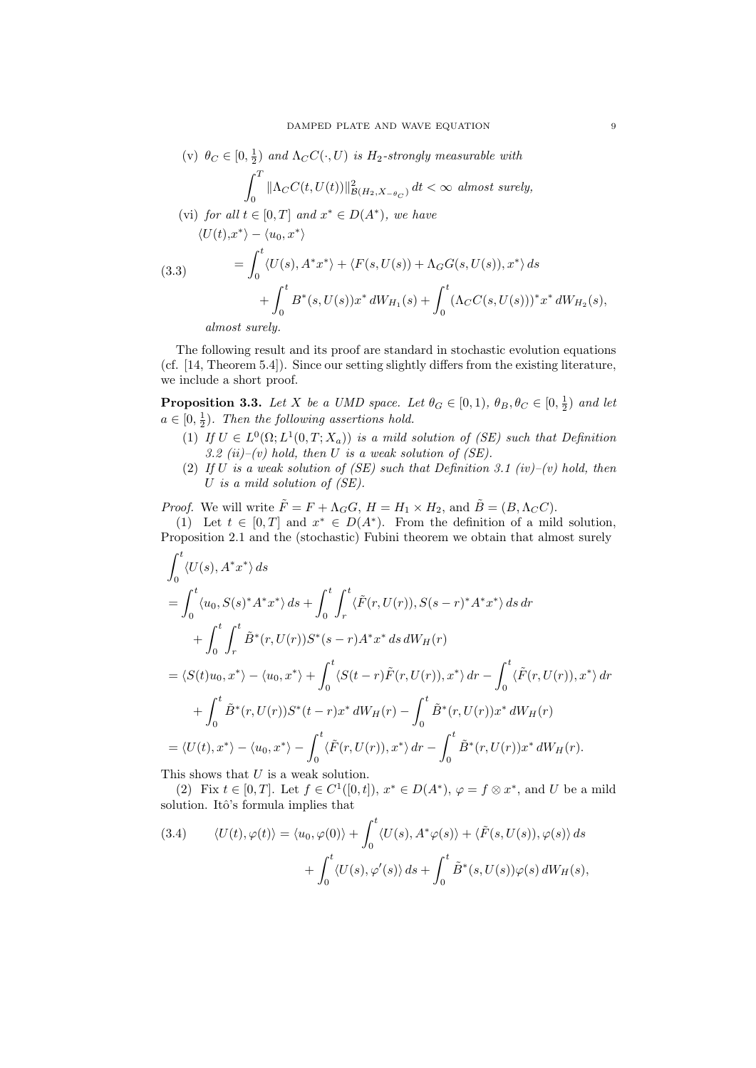(v) 
$$
\theta_C \in [0, \frac{1}{2})
$$
 and  $\Lambda_C C(\cdot, U)$  is  $H_2$ -strongly measurable with  
\n
$$
\int_0^T \|\Lambda_C C(t, U(t))\|_{\mathcal{B}(H_2, X - \theta_C)}^2 dt < \infty \text{ almost surely,}
$$

\n- (vi) for all 
$$
t \in [0, T]
$$
 and  $x^* \in D(A^*)$ , we have\n 
$$
\langle U(t), x^* \rangle - \langle u_0, x^* \rangle
$$
\n
$$
= \int_0^t \langle U(s), A^*x^* \rangle + \langle F(s, U(s)) + \Lambda_G G(s, U(s)), x^* \rangle \, ds
$$
\n
$$
+ \int_0^t B^*(s, U(s))x^* \, dW_{H_1}(s) + \int_0^t (\Lambda_C C(s, U(s)))^* x^* \, dW_{H_2}(s),
$$
\n almost surely.
\n

 $\overline{1}$ 

The following result and its proof are standard in stochastic evolution equations (cf. [14, Theorem 5.4]). Since our setting slightly differs from the existing literature, we include a short proof.

**Proposition 3.3.** Let X be a UMD space. Let  $\theta_G \in [0,1)$ ,  $\theta_B, \theta_C \in [0, \frac{1}{2})$  and let  $a \in [0, \frac{1}{2})$ . Then the following assertions hold.

- (1) If  $U \in L^0(\Omega; L^1(0,T; X_a))$  is a mild solution of (SE) such that Definition 3.2 (ii)–(v) hold, then U is a weak solution of  $(SE)$ .
- (2) If U is a weak solution of (SE) such that Definition 3.1 (iv)–(v) hold, then U is a mild solution of (SE).

*Proof.* We will write  $\tilde{F} = F + \Lambda_G G$ ,  $H = H_1 \times H_2$ , and  $\tilde{B} = (B, \Lambda_C C)$ .

(1) Let  $t \in [0,T]$  and  $x^* \in D(A^*)$ . From the definition of a mild solution, Proposition 2.1 and the (stochastic) Fubini theorem we obtain that almost surely

$$
\int_{0}^{t} \langle U(s), A^{*}x^{*} \rangle ds
$$
\n
$$
= \int_{0}^{t} \langle u_{0}, S(s)^{*}A^{*}x^{*} \rangle ds + \int_{0}^{t} \int_{r}^{t} \langle \tilde{F}(r, U(r)), S(s-r)^{*}A^{*}x^{*} \rangle ds dr
$$
\n
$$
+ \int_{0}^{t} \int_{r}^{t} \tilde{B}^{*}(r, U(r))S^{*}(s-r)A^{*}x^{*} ds dW_{H}(r)
$$
\n
$$
= \langle S(t)u_{0}, x^{*} \rangle - \langle u_{0}, x^{*} \rangle + \int_{0}^{t} \langle S(t-r)\tilde{F}(r, U(r)), x^{*} \rangle dr - \int_{0}^{t} \langle \tilde{F}(r, U(r)), x^{*} \rangle dr
$$
\n
$$
+ \int_{0}^{t} \tilde{B}^{*}(r, U(r))S^{*}(t-r)x^{*} dW_{H}(r) - \int_{0}^{t} \tilde{B}^{*}(r, U(r))x^{*} dW_{H}(r)
$$
\n
$$
= \langle U(t), x^{*} \rangle - \langle u_{0}, x^{*} \rangle - \int_{0}^{t} \langle \tilde{F}(r, U(r)), x^{*} \rangle dr - \int_{0}^{t} \tilde{B}^{*}(r, U(r))x^{*} dW_{H}(r).
$$

This shows that  $U$  is a weak solution.

(2) Fix  $t \in [0, T]$ . Let  $f \in C^1([0, t])$ ,  $x^* \in D(A^*)$ ,  $\varphi = f \otimes x^*$ , and U be a mild solution. Itô's formula implies that

(3.4) 
$$
\langle U(t), \varphi(t) \rangle = \langle u_0, \varphi(0) \rangle + \int_0^t \langle U(s), A^* \varphi(s) \rangle + \langle \tilde{F}(s, U(s)), \varphi(s) \rangle ds + \int_0^t \langle U(s), \varphi'(s) \rangle ds + \int_0^t \tilde{B}^*(s, U(s)) \varphi(s) dW_H(s),
$$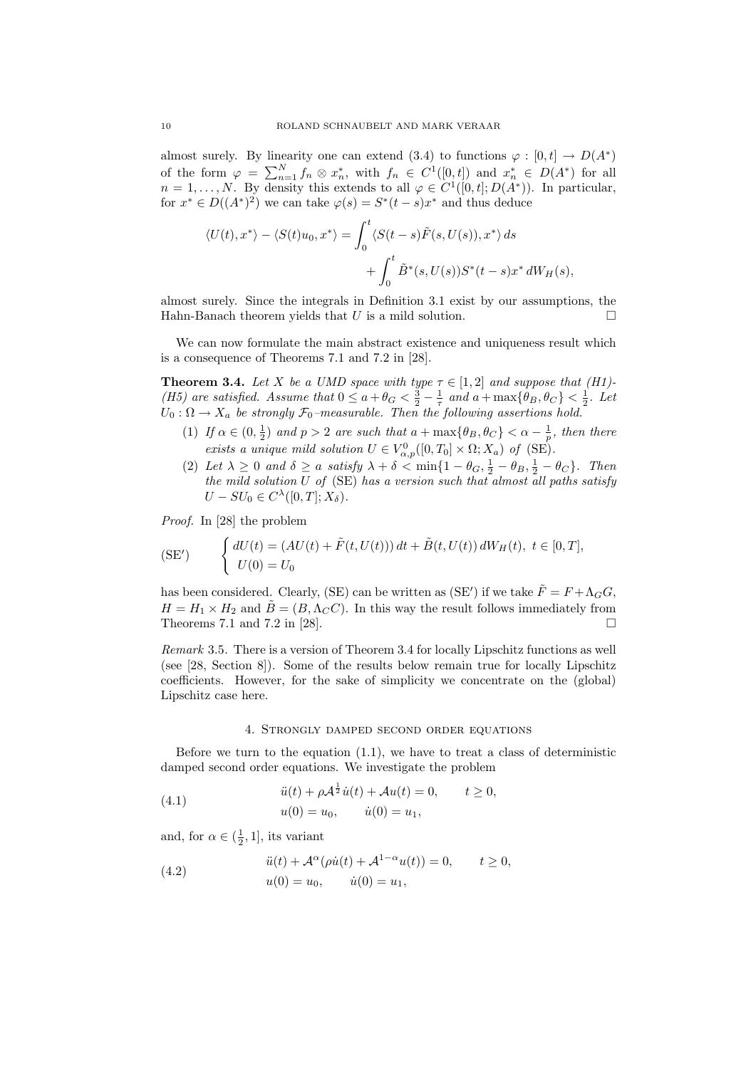almost surely. By linearity one can extend (3.4) to functions  $\varphi : [0, t] \to D(A^*)$ of the form  $\varphi = \sum_{n=1}^{N} f_n \otimes x_n^*$ , with  $f_n \in C^1([0,t])$  and  $x_n^* \in D(A^*)$  for all  $n = 1, \ldots, N$ . By density this extends to all  $\varphi \in C^1([0, t]; D(A^*))$ . In particular, for  $x^* \in D((A^*)^2)$  we can take  $\varphi(s) = S^*(t-s)x^*$  and thus deduce

$$
\langle U(t), x^* \rangle - \langle S(t)u_0, x^* \rangle = \int_0^t \langle S(t-s)\tilde{F}(s, U(s)), x^* \rangle ds
$$
  
+ 
$$
\int_0^t \tilde{B}^*(s, U(s))S^*(t-s)x^* dW_H(s),
$$

almost surely. Since the integrals in Definition 3.1 exist by our assumptions, the Hahn-Banach theorem yields that U is a mild solution.

We can now formulate the main abstract existence and uniqueness result which is a consequence of Theorems 7.1 and 7.2 in [28].

**Theorem 3.4.** Let X be a UMD space with type  $\tau \in [1,2]$  and suppose that  $(H1)$ -(H5) are satisfied. Assume that  $0 \le a + \theta_G < \frac{3}{2} - \frac{1}{\tau}$  and  $a + \max{\theta_B, \theta_C} < \frac{1}{2}$ . Let  $U_0$ :  $\Omega \rightarrow X_a$  be strongly  $\mathcal{F}_0$ -measurable. Then the following assertions hold.

- (1) If  $\alpha \in (0, \frac{1}{2})$  and  $p > 2$  are such that  $a + \max{\{\theta_B, \theta_C\}} < \alpha \frac{1}{p}$ , then there exists a unique mild solution  $U \in V^0_{\alpha,p}([0,T_0] \times \Omega; X_a)$  of (SE).
- (2) Let  $\lambda \geq 0$  and  $\delta \geq a$  satisfy  $\lambda + \delta < \min\{1 \theta_G, \frac{1}{2} \theta_B, \frac{1}{2} \theta_C\}$ . Then the mild solution U of  $(SE)$  has a version such that almost all paths satisfy  $U - SU_0 \in C^{\lambda}([0, T]; X_{\delta}).$

Proof. In [28] the problem

$$
\text{(SE')} \qquad \begin{cases} dU(t) = (AU(t) + \tilde{F}(t, U(t))) dt + \tilde{B}(t, U(t)) dW_H(t), \ t \in [0, T], \\ U(0) = U_0 \end{cases}
$$

has been considered. Clearly, (SE) can be written as (SE') if we take  $\tilde{F} = F + \Lambda_G G$ ,  $H = H_1 \times H_2$  and  $\tilde{B} = (B, \Lambda_C C)$ . In this way the result follows immediately from Theorems 7.1 and 7.2 in [28].

Remark 3.5. There is a version of Theorem 3.4 for locally Lipschitz functions as well (see [28, Section 8]). Some of the results below remain true for locally Lipschitz coefficients. However, for the sake of simplicity we concentrate on the (global) Lipschitz case here.

### 4. Strongly damped second order equations

Before we turn to the equation  $(1.1)$ , we have to treat a class of deterministic damped second order equations. We investigate the problem

(4.1) 
$$
\ddot{u}(t) + \rho \mathcal{A}^{\frac{1}{2}} \dot{u}(t) + \mathcal{A}u(t) = 0, \qquad t \ge 0, \nu(0) = u_0, \qquad \dot{u}(0) = u_1,
$$

and, for  $\alpha \in (\frac{1}{2}, 1]$ , its variant

(4.2) 
$$
\ddot{u}(t) + A^{\alpha}(\rho \dot{u}(t) + A^{1-\alpha}u(t)) = 0, \qquad t \ge 0, \nu(0) = u_0, \qquad \dot{u}(0) = u_1,
$$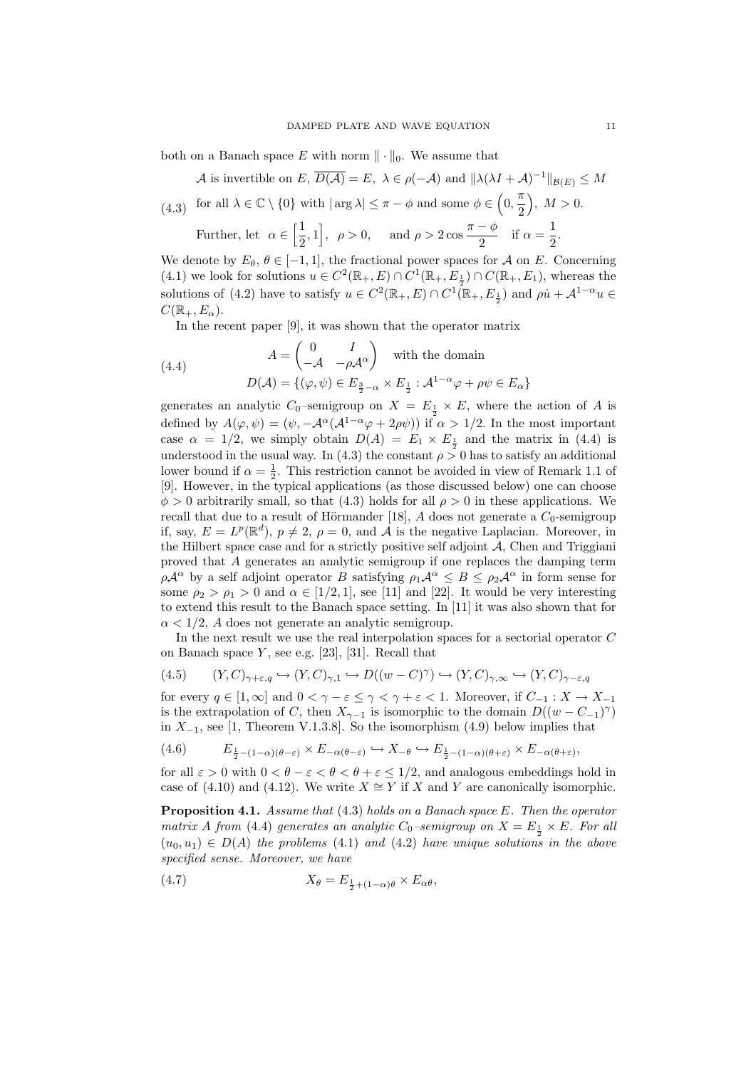both on a Banach space E with norm  $\|\cdot\|_0$ . We assume that

A is invertible on E,  $\overline{D(A)} = E$ ,  $\lambda \in \rho(-A)$  and  $\|\lambda(\lambda I + A)^{-1}\|_{\mathcal{B}(E)} \leq M$ for all  $\lambda \in \mathbb{C} \setminus \{0\}$  with  $|\arg \lambda| \leq \pi - \phi$  and some  $\phi \in (0, \frac{\pi}{2})$ 2 (4.3) for all  $\lambda \in \mathbb{C} \setminus \{0\}$  with  $|\arg \lambda| \leq \pi - \phi$  and some  $\phi \in \left(0, \frac{\pi}{2}\right), M > 0$ .

Further, let  $\alpha \in \left[\frac{1}{2}\right]$  $\left[\frac{1}{2}, 1\right], \ \rho > 0, \text{ and } \rho > 2 \cos \frac{\pi - \phi}{2}$  $\frac{-\phi}{2}$  if  $\alpha = \frac{1}{2}$  $\frac{1}{2}$ .

We denote by  $E_{\theta}$ ,  $\theta \in [-1, 1]$ , the fractional power spaces for A on E. Concerning (4.1) we look for solutions  $u \in C^2(\mathbb{R}_+, E) \cap C^1(\mathbb{R}_+, E_{\frac{1}{2}}) \cap C(\mathbb{R}_+, E_1)$ , whereas the solutions of (4.2) have to satisfy  $u \in C^2(\mathbb{R}_+, E) \cap C^1(\mathbb{R}_+, E_{\frac{1}{2}})$  and  $\rho \dot{u} + A^{1-\alpha} u \in$  $C(\mathbb{R}_+, E_\alpha).$ 

In the recent paper [9], it was shown that the operator matrix

(4.4) 
$$
A = \begin{pmatrix} 0 & I \\ -\mathcal{A} & -\rho \mathcal{A}^{\alpha} \end{pmatrix} \text{ with the domain}
$$

$$
D(\mathcal{A}) = \{ (\varphi, \psi) \in E_{\frac{3}{2}-\alpha} \times E_{\frac{1}{2}} : \mathcal{A}^{1-\alpha} \varphi + \rho \psi \in E_{\alpha} \}
$$

generates an analytic  $C_0$ -semigroup on  $X = E_{\frac{1}{2}} \times E$ , where the action of A is defined by  $A(\varphi, \psi) = (\psi, -A^{\alpha}(A^{1-\alpha}\varphi + 2\rho\psi))$  if  $\alpha > 1/2$ . In the most important case  $\alpha = 1/2$ , we simply obtain  $D(A) = E_1 \times E_{\frac{1}{2}}$  and the matrix in (4.4) is understood in the usual way. In (4.3) the constant  $\rho > 0$  has to satisfy an additional lower bound if  $\alpha = \frac{1}{2}$ . This restriction cannot be avoided in view of Remark 1.1 of [9]. However, in the typical applications (as those discussed below) one can choose  $\phi > 0$  arbitrarily small, so that (4.3) holds for all  $\rho > 0$  in these applications. We recall that due to a result of Hörmander [18], A does not generate a  $C_0$ -semigroup if, say,  $E = L^p(\mathbb{R}^d)$ ,  $p \neq 2$ ,  $\rho = 0$ , and  $\tilde{\mathcal{A}}$  is the negative Laplacian. Moreover, in the Hilbert space case and for a strictly positive self adjoint  $A$ , Chen and Triggiani proved that A generates an analytic semigroup if one replaces the damping term  $\rho \mathcal{A}^{\alpha}$  by a self adjoint operator B satisfying  $\rho_1 \mathcal{A}^{\alpha} \leq B \leq \rho_2 \mathcal{A}^{\alpha}$  in form sense for some  $\rho_2 > \rho_1 > 0$  and  $\alpha \in [1/2, 1]$ , see [11] and [22]. It would be very interesting to extend this result to the Banach space setting. In [11] it was also shown that for  $\alpha < 1/2$ , A does not generate an analytic semigroup.

In the next result we use the real interpolation spaces for a sectorial operator C on Banach space  $Y$ , see e.g. [23], [31]. Recall that

(4.5) 
$$
(Y, C)_{\gamma + \varepsilon, q} \hookrightarrow (Y, C)_{\gamma, 1} \hookrightarrow D((w - C)^{\gamma}) \hookrightarrow (Y, C)_{\gamma, \infty} \hookrightarrow (Y, C)_{\gamma - \varepsilon, q}
$$

for every  $q \in [1,\infty]$  and  $0 < \gamma - \varepsilon \leq \gamma < \gamma + \varepsilon < 1$ . Moreover, if  $C_{-1} : X \to X_{-1}$ is the extrapolation of C, then  $X_{\gamma-1}$  is isomorphic to the domain  $D((w - C_{-1})^{\gamma})$ in  $X_{-1}$ , see [1, Theorem V.1.3.8]. So the isomorphism (4.9) below implies that

$$
(4.6) \qquad E_{\frac{1}{2}-(1-\alpha)(\theta-\varepsilon)} \times E_{-\alpha(\theta-\varepsilon)} \hookrightarrow X_{-\theta} \hookrightarrow E_{\frac{1}{2}-(1-\alpha)(\theta+\varepsilon)} \times E_{-\alpha(\theta+\varepsilon)},
$$

for all  $\varepsilon > 0$  with  $0 < \theta - \varepsilon < \theta < \theta + \varepsilon < 1/2$ , and analogous embeddings hold in case of (4.10) and (4.12). We write  $X \cong Y$  if X and Y are canonically isomorphic.

Proposition 4.1. Assume that (4.3) holds on a Banach space E. Then the operator matrix A from (4.4) generates an analytic  $C_0$ -semigroup on  $X = E_{\frac{1}{2}} \times E$ . For all  $(u_0, u_1) \in D(A)$  the problems (4.1) and (4.2) have unique solutions in the above specified sense. Moreover, we have

(4.7) 
$$
X_{\theta} = E_{\frac{1}{2} + (1 - \alpha)\theta} \times E_{\alpha\theta},
$$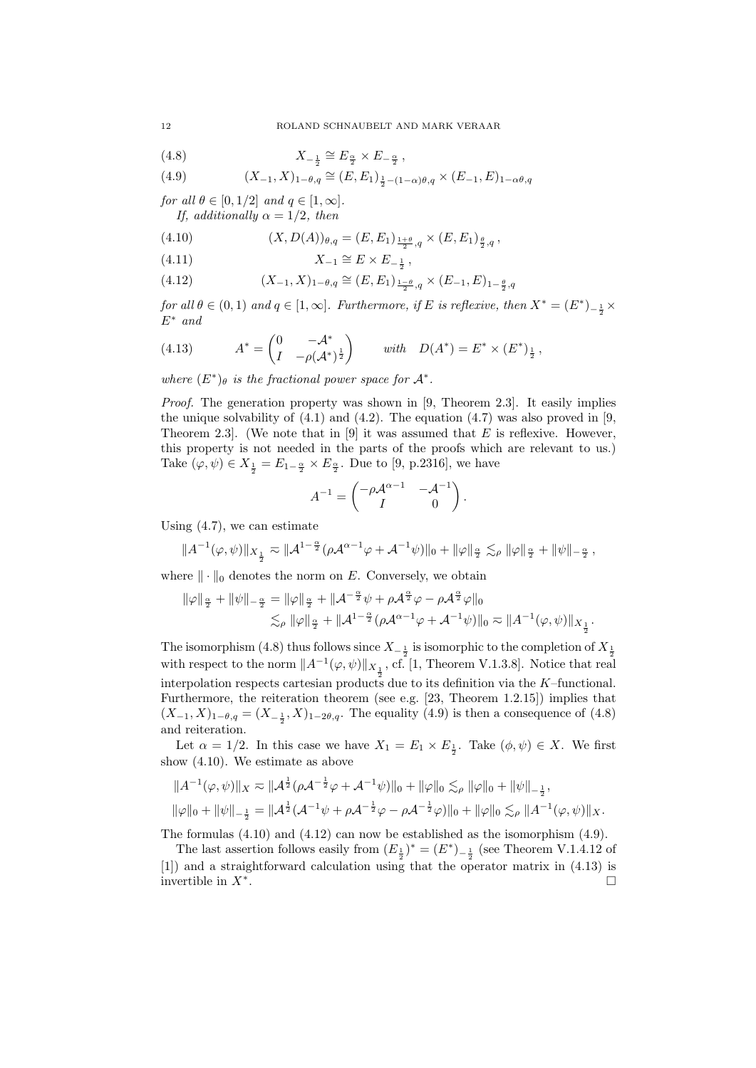(4.8) 
$$
X_{-\frac{1}{2}} \cong E_{\frac{\alpha}{2}} \times E_{-\frac{\alpha}{2}},
$$

(4.9) 
$$
(X_{-1}, X)_{1-\theta,q} \cong (E, E_1)_{\frac{1}{2}-(1-\alpha)\theta,q} \times (E_{-1}, E)_{1-\alpha\theta,q}
$$

for all  $\theta \in [0, 1/2]$  and  $q \in [1, \infty]$ . If, additionally  $\alpha = 1/2$ , then

(4.10) 
$$
(X, D(A))_{\theta,q} = (E, E_1)_{\frac{1+\theta}{2},q} \times (E, E_1)_{\frac{\theta}{2},q},
$$

$$
(4.11)\qquad \qquad X_{-1} \cong E \times E_{-\frac{1}{2}}\,,
$$

(4.12) 
$$
(X_{-1}, X)_{1-\theta,q} \cong (E, E_1)_{\frac{1-\theta}{2},q} \times (E_{-1}, E)_{1-\frac{\theta}{2},q}
$$

for all  $\theta \in (0,1)$  and  $q \in [1,\infty]$ . Furthermore, if E is reflexive, then  $X^* = (E^*)_{-\frac{1}{2}} \times$  $E^*$  and

 $\frac{1}{2}$  ,

(4.13) 
$$
A^* = \begin{pmatrix} 0 & -\mathcal{A}^* \\ I & -\rho(\mathcal{A}^*)^{\frac{1}{2}} \end{pmatrix} \text{ with } D(A^*) = E^* \times (E^*)_{\frac{1}{2}},
$$

where  $(E^*)_\theta$  is the fractional power space for  $\mathcal{A}^*$ .

Proof. The generation property was shown in [9, Theorem 2.3]. It easily implies the unique solvability of  $(4.1)$  and  $(4.2)$ . The equation  $(4.7)$  was also proved in [9, Theorem 2.3. (We note that in [9] it was assumed that E is reflexive. However, this property is not needed in the parts of the proofs which are relevant to us.) Take  $(\varphi, \psi) \in X_{\frac{1}{2}} = E_{1-\frac{\alpha}{2}} \times E_{\frac{\alpha}{2}}$ . Due to [9, p.2316], we have

$$
A^{-1} = \begin{pmatrix} -\rho \mathcal{A}^{\alpha - 1} & -\mathcal{A}^{-1} \\ I & 0 \end{pmatrix}.
$$

Using  $(4.7)$ , we can estimate

$$
||A^{-1}(\varphi,\psi)||_{X_{\frac{1}{2}}}\eqsim ||A^{1-\frac{\alpha}{2}}(\rho\mathcal{A}^{\alpha-1}\varphi+\mathcal{A}^{-1}\psi)||_0+||\varphi||_{\frac{\alpha}{2}}\lesssim_{\rho}||\varphi||_{\frac{\alpha}{2}}+||\psi||_{-\frac{\alpha}{2}}\,,
$$

where  $\|\cdot\|_0$  denotes the norm on E. Conversely, we obtain

$$
\|\varphi\|_{\frac{\alpha}{2}} + \|\psi\|_{-\frac{\alpha}{2}} = \|\varphi\|_{\frac{\alpha}{2}} + \|\mathcal{A}^{-\frac{\alpha}{2}}\psi + \rho\mathcal{A}^{\frac{\alpha}{2}}\varphi - \rho\mathcal{A}^{\frac{\alpha}{2}}\varphi\|_{0}
$$
  

$$
\lesssim_{\rho} \|\varphi\|_{\frac{\alpha}{2}} + \|\mathcal{A}^{1-\frac{\alpha}{2}}(\rho\mathcal{A}^{\alpha-1}\varphi + \mathcal{A}^{-1}\psi)\|_{0} \approx \|\mathcal{A}^{-1}(\varphi, \psi)\|_{X_{\frac{1}{2}}}.
$$

The isomorphism (4.8) thus follows since  $X_{-\frac{1}{2}}$  is isomorphic to the completion of  $X_{\frac{1}{2}}$ with respect to the norm  $||A^{-1}(\varphi, \psi)||_{X_{\frac{1}{2}}}$ , cf. [1, Theorem V.1.3.8]. Notice that real interpolation respects cartesian products due to its definition via the K–functional. Furthermore, the reiteration theorem (see e.g. [23, Theorem 1.2.15]) implies that  $(X_{-1}, X)_{1-\theta,q} = (X_{-\frac{1}{2}}, X)_{1-2\theta,q}$ . The equality (4.9) is then a consequence of (4.8) and reiteration.

Let  $\alpha = 1/2$ . In this case we have  $X_1 = E_1 \times E_{\frac{1}{2}}$ . Take  $(\phi, \psi) \in X$ . We first show (4.10). We estimate as above

$$
||A^{-1}(\varphi,\psi)||_X \approx ||A^{\frac{1}{2}}(\rho A^{-\frac{1}{2}}\varphi + A^{-1}\psi)||_0 + ||\varphi||_0 \lesssim_{\rho} ||\varphi||_0 + ||\psi||_{-\frac{1}{2}},
$$
  

$$
||\varphi||_0 + ||\psi||_{-\frac{1}{2}} = ||A^{\frac{1}{2}}(A^{-1}\psi + \rho A^{-\frac{1}{2}}\varphi - \rho A^{-\frac{1}{2}}\varphi)||_0 + ||\varphi||_0 \lesssim_{\rho} ||A^{-1}(\varphi,\psi)||_X.
$$

The formulas  $(4.10)$  and  $(4.12)$  can now be established as the isomorphism  $(4.9)$ .

The last assertion follows easily from  $(E_{\frac{1}{2}})^* = (E^*)_{-\frac{1}{2}}$  (see Theorem V.1.4.12 of [1]) and a straightforward calculation using that the operator matrix in (4.13) is invertible in  $X^*$ . .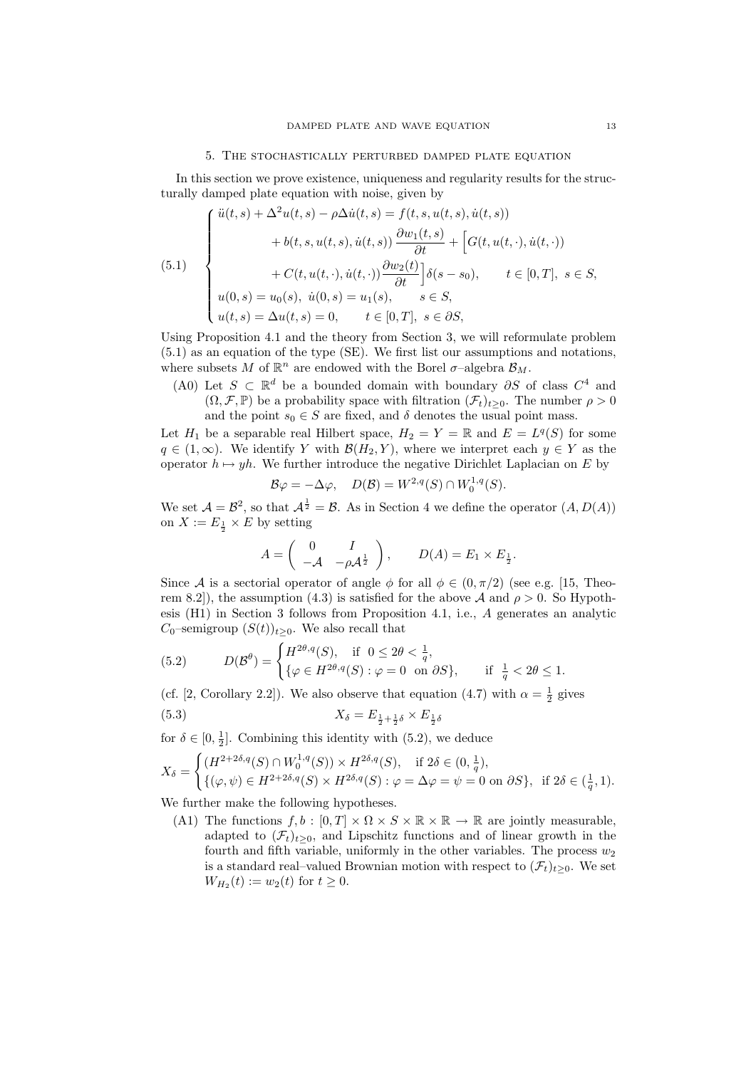### 5. The stochastically perturbed damped plate equation

In this section we prove existence, uniqueness and regularity results for the structurally damped plate equation with noise, given by

(5.1)  

$$
\begin{cases}\n\ddot{u}(t,s) + \Delta^2 u(t,s) - \rho \Delta \dot{u}(t,s) = f(t,s, u(t,s), \dot{u}(t,s)) \\
+ b(t,s, u(t,s), \dot{u}(t,s)) \frac{\partial w_1(t,s)}{\partial t} + \left[ G(t, u(t,\cdot), \dot{u}(t,\cdot)) \right. \\
+ C(t, u(t,\cdot), \dot{u}(t,\cdot)) \frac{\partial w_2(t)}{\partial t} \right] \delta(s - s_0), \qquad t \in [0, T], \ s \in S, \\
u(0,s) = u_0(s), \ \dot{u}(0,s) = u_1(s), \qquad s \in S, \\
u(t,s) = \Delta u(t,s) = 0, \qquad t \in [0, T], \ s \in \partial S,\n\end{cases}
$$

Using Proposition 4.1 and the theory from Section 3, we will reformulate problem (5.1) as an equation of the type (SE). We first list our assumptions and notations, where subsets M of  $\mathbb{R}^n$  are endowed with the Borel  $\sigma$ -algebra  $\mathcal{B}_M$ .

(A0) Let  $S \subset \mathbb{R}^d$  be a bounded domain with boundary  $\partial S$  of class  $C^4$  and  $(\Omega, \mathcal{F}, \mathbb{P})$  be a probability space with filtration  $(\mathcal{F}_t)_{t\geq 0}$ . The number  $\rho > 0$ and the point  $s_0 \in S$  are fixed, and  $\delta$  denotes the usual point mass.

Let  $H_1$  be a separable real Hilbert space,  $H_2 = Y = \mathbb{R}$  and  $E = L^q(S)$  for some  $q \in (1,\infty)$ . We identify Y with  $\mathcal{B}(H_2, Y)$ , where we interpret each  $y \in Y$  as the operator  $h \mapsto yh$ . We further introduce the negative Dirichlet Laplacian on E by

$$
\mathcal{B}\varphi = -\Delta\varphi, \quad D(\mathcal{B}) = W^{2,q}(S) \cap W_0^{1,q}(S).
$$

We set  $\mathcal{A} = \mathcal{B}^2$ , so that  $\mathcal{A}^{\frac{1}{2}} = \mathcal{B}$ . As in Section 4 we define the operator  $(A, D(A))$ on  $X := E_{\frac{1}{2}} \times E$  by setting

$$
A = \begin{pmatrix} 0 & I \\ -\mathcal{A} & -\rho \mathcal{A}^{\frac{1}{2}} \end{pmatrix}, \qquad D(A) = E_1 \times E_{\frac{1}{2}}.
$$

Since A is a sectorial operator of angle  $\phi$  for all  $\phi \in (0, \pi/2)$  (see e.g. [15, Theorem 8.2]), the assumption (4.3) is satisfied for the above A and  $\rho > 0$ . So Hypothesis (H1) in Section 3 follows from Proposition 4.1, i.e., A generates an analytic  $C_0$ –semigroup  $(S(t))_{t>0}$ . We also recall that

(5.2) 
$$
D(\mathcal{B}^{\theta}) = \begin{cases} H^{2\theta, q}(S), & \text{if } 0 \le 2\theta < \frac{1}{q}, \\ \{\varphi \in H^{2\theta, q}(S) : \varphi = 0 \text{ on } \partial S\}, & \text{if } \frac{1}{q} < 2\theta \le 1. \end{cases}
$$

(cf. [2, Corollary 2.2]). We also observe that equation (4.7) with  $\alpha = \frac{1}{2}$  gives

(5.3) 
$$
X_{\delta} = E_{\frac{1}{2} + \frac{1}{2}\delta} \times E_{\frac{1}{2}\delta}
$$

for  $\delta \in [0, \frac{1}{2}]$ . Combining this identity with  $(5.2)$ , we deduce

$$
X_{\delta} = \begin{cases} (H^{2+2\delta,q}(S) \cap W_0^{1,q}(S)) \times H^{2\delta,q}(S), & \text{if } 2\delta \in (0, \frac{1}{q}), \\ \{(\varphi, \psi) \in H^{2+2\delta,q}(S) \times H^{2\delta,q}(S) : \varphi = \Delta \varphi = \psi = 0 \text{ on } \partial S \}, & \text{if } 2\delta \in (\frac{1}{q}, 1). \end{cases}
$$

We further make the following hypotheses.

(A1) The functions  $f, b : [0, T] \times \Omega \times S \times \mathbb{R} \times \mathbb{R} \to \mathbb{R}$  are jointly measurable, adapted to  $(\mathcal{F}_t)_{t>0}$ , and Lipschitz functions and of linear growth in the fourth and fifth variable, uniformly in the other variables. The process  $w_2$ is a standard real–valued Brownian motion with respect to  $(\mathcal{F}_t)_{t>0}$ . We set  $W_{H_2}(t) := w_2(t)$  for  $t \ge 0$ .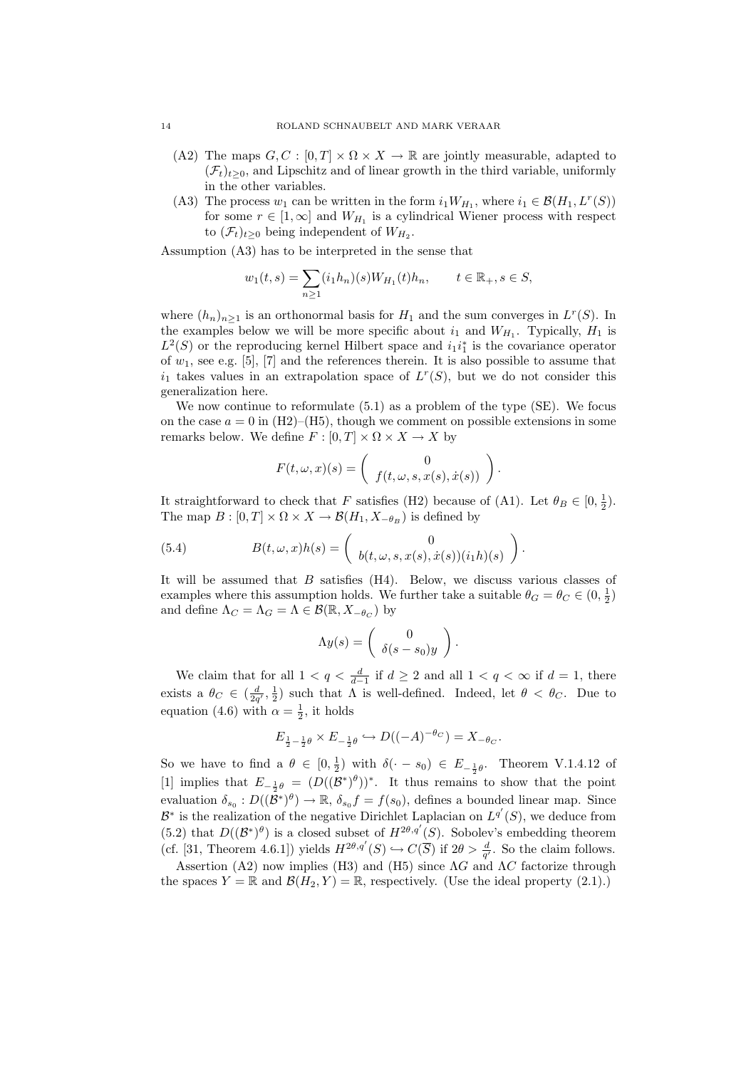- (A2) The maps  $G, C : [0, T] \times \Omega \times X \rightarrow \mathbb{R}$  are jointly measurable, adapted to  $(\mathcal{F}_t)_{t>0}$ , and Lipschitz and of linear growth in the third variable, uniformly in the other variables.
- (A3) The process  $w_1$  can be written in the form  $i_1 W_{H_1}$ , where  $i_1 \in \mathcal{B}(H_1, L^r(S))$ for some  $r \in [1,\infty]$  and  $W_{H_1}$  is a cylindrical Wiener process with respect to  $(\mathcal{F}_t)_{t\geq 0}$  being independent of  $W_{H_2}$ .

Assumption (A3) has to be interpreted in the sense that

$$
w_1(t,s) = \sum_{n\geq 1} (i_1 h_n)(s) W_{H_1}(t) h_n, \quad t \in \mathbb{R}_+, s \in S,
$$

where  $(h_n)_{n\geq 1}$  is an orthonormal basis for  $H_1$  and the sum converges in  $L^r(S)$ . In the examples below we will be more specific about  $i_1$  and  $W_{H_1}$ . Typically,  $H_1$  is  $L^2(S)$  or the reproducing kernel Hilbert space and  $i_1i_1^*$  is the covariance operator of  $w_1$ , see e.g. [5], [7] and the references therein. It is also possible to assume that  $i_1$  takes values in an extrapolation space of  $L^r(S)$ , but we do not consider this generalization here.

We now continue to reformulate (5.1) as a problem of the type (SE). We focus on the case  $a = 0$  in (H2)–(H5), though we comment on possible extensions in some remarks below. We define  $F : [0, T] \times \Omega \times X \rightarrow X$  by

$$
F(t, \omega, x)(s) = \begin{pmatrix} 0 \\ f(t, \omega, s, x(s), \dot{x}(s)) \end{pmatrix}.
$$

It straightforward to check that F satisfies (H2) because of (A1). Let  $\theta_B \in [0, \frac{1}{2})$ . The map  $B : [0, T] \times \Omega \times X \to \mathcal{B}(H_1, X_{-\theta_B})$  is defined by

(5.4) 
$$
B(t, \omega, x)h(s) = \begin{pmatrix} 0 \\ b(t, \omega, s, x(s), \dot{x}(s))(i_1h)(s) \end{pmatrix}.
$$

It will be assumed that  $B$  satisfies  $(H4)$ . Below, we discuss various classes of examples where this assumption holds. We further take a suitable  $\theta_G = \theta_C \in (0, \frac{1}{2})$ and define  $\Lambda_C = \Lambda_G = \Lambda \in \mathcal{B}(\mathbb{R}, X_{-\theta_C})$  by

$$
\Lambda y(s) = \begin{pmatrix} 0 \\ \delta(s - s_0)y \end{pmatrix}.
$$

We claim that for all  $1 < q < \frac{d}{d-1}$  if  $d \ge 2$  and all  $1 < q < \infty$  if  $d = 1$ , there exists a  $\theta_C \in (\frac{d}{2q'}, \frac{1}{2})$  such that  $\Lambda$  is well-defined. Indeed, let  $\theta < \theta_C$ . Due to equation (4.6) with  $\alpha = \frac{1}{2}$ , it holds

$$
E_{\frac{1}{2}-\frac{1}{2}\theta} \times E_{-\frac{1}{2}\theta} \hookrightarrow D((-A)^{-\theta_C}) = X_{-\theta_C}.
$$

So we have to find a  $\theta \in [0, \frac{1}{2})$  with  $\delta(\cdot - s_0) \in E_{-\frac{1}{2}\theta}$ . Theorem V.1.4.12 of [1] implies that  $E_{-\frac{1}{2}\theta} = (D((\mathcal{B}^*)^{\theta}))^*$ . It thus remains to show that the point evaluation  $\delta_{s_0}: D((\tilde{\mathcal{B}}^*)^{\theta}) \to \mathbb{R}, \delta_{s_0} f = f(s_0)$ , defines a bounded linear map. Since  $\mathcal{B}^*$  is the realization of the negative Dirichlet Laplacian on  $L^{q'}(S)$ , we deduce from (5.2) that  $D((\mathcal{B}^*)^{\theta})$  is a closed subset of  $H^{2\theta,q'}(S)$ . Sobolev's embedding theorem (cf. [31, Theorem 4.6.1]) yields  $H^{2\theta,q'}(S) \hookrightarrow C(\overline{S})$  if  $2\theta > \frac{d}{q'}$ . So the claim follows.

Assertion (A2) now implies (H3) and (H5) since  $\Lambda G$  and  $\Lambda C$  factorize through the spaces  $Y = \mathbb{R}$  and  $\mathcal{B}(H_2, Y) = \mathbb{R}$ , respectively. (Use the ideal property (2.1).)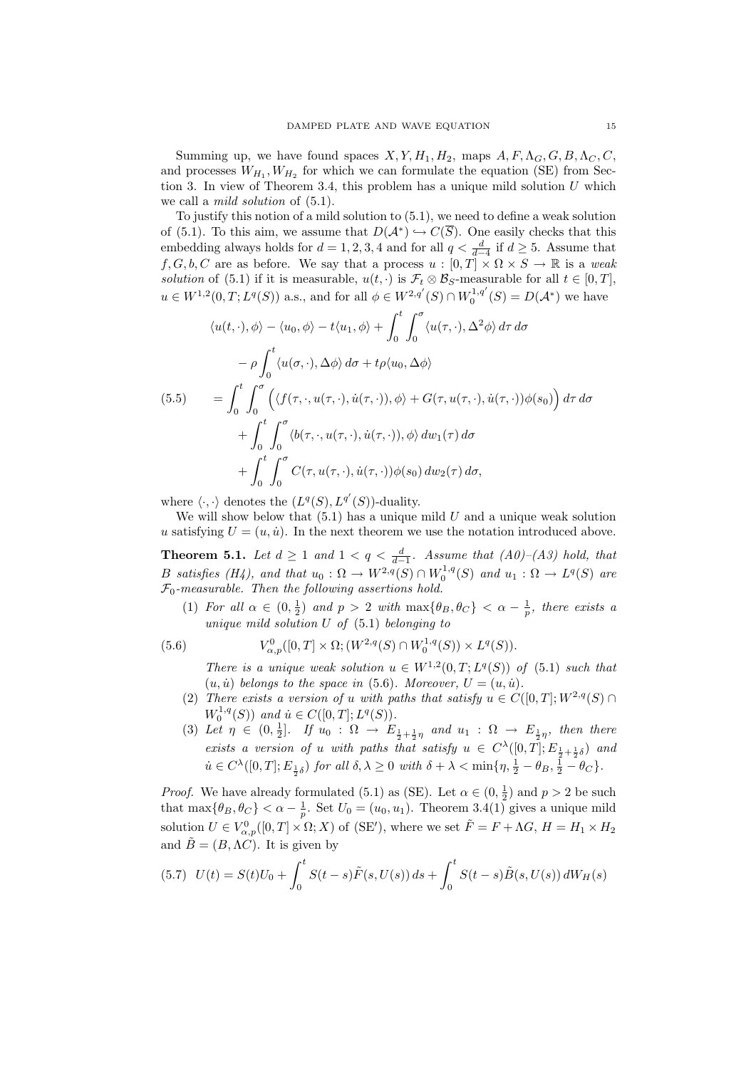Summing up, we have found spaces  $X, Y, H_1, H_2$ , maps  $A, F, \Lambda_G, G, B, \Lambda_C, C$ , and processes  $W_{H_1}, W_{H_2}$  for which we can formulate the equation (SE) from Section 3. In view of Theorem 3.4, this problem has a unique mild solution  $U$  which we call a *mild solution* of  $(5.1)$ .

To justify this notion of a mild solution to (5.1), we need to define a weak solution of (5.1). To this aim, we assume that  $D(\mathcal{A}^*) \hookrightarrow C(\overline{S})$ . One easily checks that this embedding always holds for  $d = 1, 2, 3, 4$  and for all  $q < \frac{d}{d-4}$  if  $d \geq 5$ . Assume that  $f, G, b, C$  are as before. We say that a process  $u : [0, T] \times \Omega \times S \to \mathbb{R}$  is a weak solution of (5.1) if it is measurable,  $u(t, \cdot)$  is  $\mathcal{F}_t \otimes \mathcal{B}_S$ -measurable for all  $t \in [0, T]$ ,  $u \in W^{1,2}(0,T;L^q(S))$  a.s., and for all  $\phi \in W^{2,q'}(S) \cap W_0^{1,q'}(S) = D(A^*)$  we have

$$
\langle u(t, \cdot), \phi \rangle - \langle u_0, \phi \rangle - t \langle u_1, \phi \rangle + \int_0^t \int_0^{\sigma} \langle u(\tau, \cdot), \Delta^2 \phi \rangle d\tau d\sigma
$$

$$
- \rho \int_0^t \langle u(\sigma, \cdot), \Delta \phi \rangle d\sigma + t \rho \langle u_0, \Delta \phi \rangle
$$
  
(5.5) 
$$
= \int_0^t \int_0^{\sigma} \left( \langle f(\tau, \cdot, u(\tau, \cdot), \dot{u}(\tau, \cdot)), \phi \rangle + G(\tau, u(\tau, \cdot), \dot{u}(\tau, \cdot)) \phi(s_0) \right) d\tau d\sigma
$$

$$
+ \int_0^t \int_0^{\sigma} \langle b(\tau, \cdot, u(\tau, \cdot), \dot{u}(\tau, \cdot)), \phi \rangle d\omega_1(\tau) d\sigma
$$

$$
+ \int_0^t \int_0^{\sigma} C(\tau, u(\tau, \cdot), \dot{u}(\tau, \cdot)) \phi(s_0) d\omega_2(\tau) d\sigma,
$$

where  $\langle \cdot, \cdot \rangle$  denotes the  $(L^q(S), L^{q'}(S))$ -duality.

We will show below that  $(5.1)$  has a unique mild U and a unique weak solution u satisfying  $U = (u, \dot{u})$ . In the next theorem we use the notation introduced above.

**Theorem 5.1.** Let  $d \geq 1$  and  $1 < q < \frac{d}{d-1}$ . Assume that  $(A0)$ – $(A3)$  hold, that B satisfies (H4), and that  $u_0$ :  $\Omega \to W^{2,q}(S) \cap W_0^{1,q}(S)$  and  $u_1 : \Omega \to L^q(S)$  are  $\mathcal{F}_0$ -measurable. Then the following assertions hold.

(1) For all  $\alpha \in (0, \frac{1}{2})$  and  $p > 2$  with  $\max{\lbrace \theta_B, \theta_C \rbrace} < \alpha - \frac{1}{p}$ , there exists a unique mild solution  $U$  of  $(5.1)$  belonging to

(5.6) 
$$
V^0_{\alpha,p}([0,T] \times \Omega; (W^{2,q}(S) \cap W^{1,q}_0(S)) \times L^q(S)).
$$

There is a unique weak solution  $u \in W^{1,2}(0,T;L^q(S))$  of  $(5.1)$  such that  $(u, \dot{u})$  belongs to the space in (5.6). Moreover,  $U = (u, \dot{u})$ .

- (2) There exists a version of u with paths that satisfy  $u \in C([0,T]; W^{2,q}(S) \cap$  $W_0^{1,q}(S)$  and  $\dot{u} \in C([0,T]; L^q(S)).$
- (3) Let  $\eta \in (0, \frac{1}{2}]$ . If  $u_0 : \Omega \to E_{\frac{1}{2} + \frac{1}{2}\eta}$  and  $u_1 : \Omega \to E_{\frac{1}{2}\eta}$ , then there exists a version of u with paths that satisfy  $u \in C^{\lambda}([0,T]; E_{\frac{1}{2} + \frac{1}{2}\delta})$  and  $\dot{u} \in C^{\lambda}([0,T]; E_{\frac{1}{2}\delta})$  for all  $\delta, \lambda \geq 0$  with  $\delta + \lambda < \min\{\eta, \frac{1}{2} - \theta_B, \frac{1}{2} - \theta_C\}.$

*Proof.* We have already formulated (5.1) as (SE). Let  $\alpha \in (0, \frac{1}{2})$  and  $p > 2$  be such that  $\max{\lbrace \theta_B, \theta_C \rbrace} < \alpha - \frac{1}{p}$ . Set  $U_0 = (u_0, u_1)$ . Theorem 3.4(1) gives a unique mild solution  $U \in V^0_{\alpha,p}([0,T] \times \Omega; X)$  of (SE'), where we set  $\tilde{F} = F + \Lambda G$ ,  $H = H_1 \times H_2$ and  $\tilde{B} = (B, \Lambda C)$ . It is given by

$$
(5.7) \quad U(t) = S(t)U_0 + \int_0^t S(t-s)\tilde{F}(s, U(s))\,ds + \int_0^t S(t-s)\tilde{B}(s, U(s))\,dW_H(s)
$$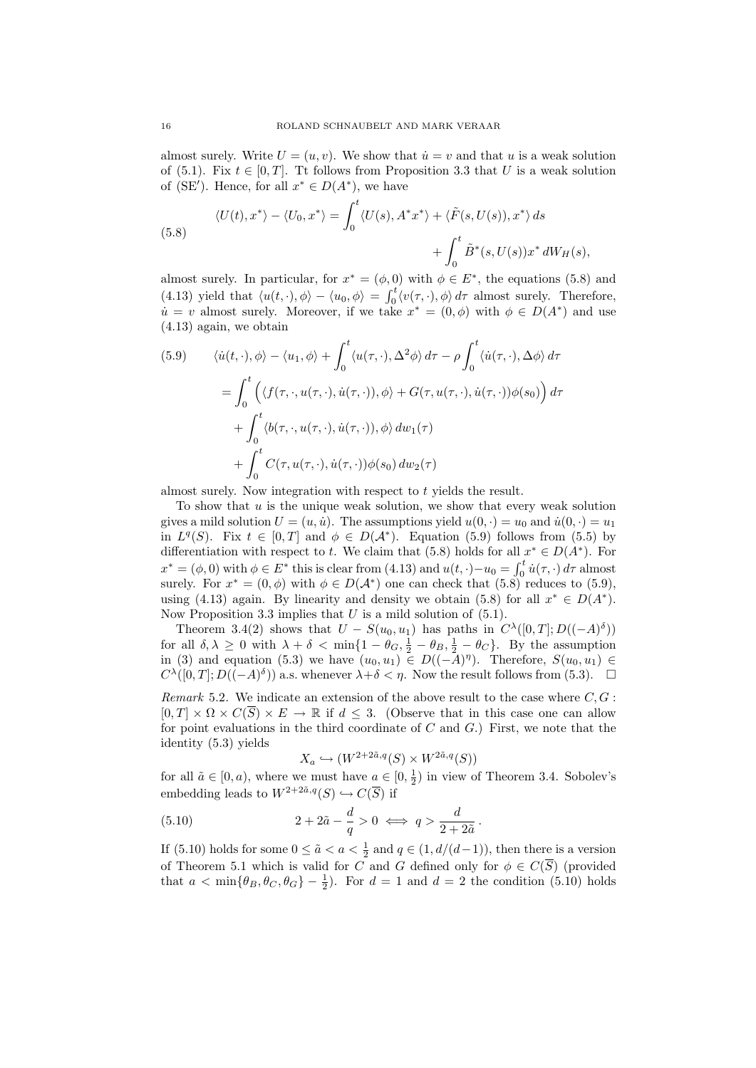almost surely. Write  $U = (u, v)$ . We show that  $\dot{u} = v$  and that u is a weak solution of (5.1). Fix  $t \in [0, T]$ . Tt follows from Proposition 3.3 that U is a weak solution of (SE'). Hence, for all  $x^* \in D(A^*)$ , we have

(5.8) 
$$
\langle U(t), x^* \rangle - \langle U_0, x^* \rangle = \int_0^t \langle U(s), A^* x^* \rangle + \langle \tilde{F}(s, U(s)), x^* \rangle ds + \int_0^t \tilde{B}^*(s, U(s)) x^* dW_H(s),
$$

almost surely. In particular, for  $x^* = (\phi, 0)$  with  $\phi \in E^*$ , the equations (5.8) and (4.13) yield that  $\langle u(t, \cdot), \phi \rangle - \langle u_0, \phi \rangle = \int_0^t \langle v(\tau, \cdot), \phi \rangle d\tau$  almost surely. Therefore,  $\dot{u} = v$  almost surely. Moreover, if we take  $x^* = (0, \phi)$  with  $\phi \in D(A^*)$  and use (4.13) again, we obtain

(5.9) 
$$
\langle \dot{u}(t, \cdot), \phi \rangle - \langle u_1, \phi \rangle + \int_0^t \langle u(\tau, \cdot), \Delta^2 \phi \rangle d\tau - \rho \int_0^t \langle \dot{u}(\tau, \cdot), \Delta \phi \rangle d\tau
$$

$$
= \int_0^t \left( \langle f(\tau, \cdot, u(\tau, \cdot), \dot{u}(\tau, \cdot)), \phi \rangle + G(\tau, u(\tau, \cdot), \dot{u}(\tau, \cdot)) \phi(s_0) \right) d\tau
$$

$$
+ \int_0^t \langle b(\tau, \cdot, u(\tau, \cdot), \dot{u}(\tau, \cdot)), \phi \rangle d\omega_1(\tau)
$$

$$
+ \int_0^t C(\tau, u(\tau, \cdot), \dot{u}(\tau, \cdot)) \phi(s_0) d\omega_2(\tau)
$$

almost surely. Now integration with respect to t yields the result.

To show that  $u$  is the unique weak solution, we show that every weak solution gives a mild solution  $U = (u, \dot{u})$ . The assumptions yield  $u(0, \cdot) = u_0$  and  $\dot{u}(0, \cdot) = u_1$ in  $L^q(S)$ . Fix  $t \in [0,T]$  and  $\phi \in D(\mathcal{A}^*)$ . Equation (5.9) follows from (5.5) by differentiation with respect to t. We claim that (5.8) holds for all  $x^* \in D(A^*)$ . For  $x^* = (\phi, 0)$  with  $\phi \in E^*$  this is clear from (4.13) and  $u(t, \cdot) - u_0 = \int_0^t \dot{u}(\tau, \cdot) d\tau$  almost surely. For  $x^* = (0, \phi)$  with  $\phi \in D(\mathcal{A}^*)$  one can check that  $(5.8)$  reduces to  $(5.9)$ , using (4.13) again. By linearity and density we obtain (5.8) for all  $x^* \in D(A^*)$ . Now Proposition 3.3 implies that  $U$  is a mild solution of  $(5.1)$ .

Theorem 3.4(2) shows that  $U - S(u_0, u_1)$  has paths in  $C^{\lambda}([0, T]; D((-A)^{\delta}))$ for all  $\delta, \lambda \geq 0$  with  $\lambda + \delta < \min\{1 - \theta_G, \frac{1}{2} - \theta_B, \frac{1}{2} - \theta_C\}$ . By the assumption in (3) and equation (5.3) we have  $(u_0, u_1) \in D((-A)^{\eta})$ . Therefore,  $S(u_0, u_1) \in$  $C^{\lambda}([0,T];D((-A)^{\delta}))$  a.s. whenever  $\lambda+\delta<\eta$ . Now the result follows from (5.3).  $\square$ 

Remark 5.2. We indicate an extension of the above result to the case where  $C, G$ :  $[0, T] \times \Omega \times C(\overline{S}) \times E \to \mathbb{R}$  if  $d \leq 3$ . (Observe that in this case one can allow for point evaluations in the third coordinate of  $C$  and  $G$ .) First, we note that the identity (5.3) yields

$$
X_a \hookrightarrow (W^{2+2\tilde{a},q}(S) \times W^{2\tilde{a},q}(S))
$$

for all  $\tilde{a} \in [0, a)$ , where we must have  $a \in [0, \frac{1}{2})$  in view of Theorem 3.4. Sobolev's embedding leads to  $W^{2+2\tilde{a},q}(S) \hookrightarrow C(\overline{S})$  if

(5.10) 
$$
2 + 2\tilde{a} - \frac{d}{q} > 0 \iff q > \frac{d}{2 + 2\tilde{a}}.
$$

If (5.10) holds for some  $0 \leq \tilde{a} < a < \frac{1}{2}$  and  $q \in (1, d/(d-1))$ , then there is a version of Theorem 5.1 which is valid for C and G defined only for  $\phi \in C(\overline{S})$  (provided that  $a < \min\{\theta_B, \theta_C, \theta_G\} - \frac{1}{2}$ . For  $d = 1$  and  $d = 2$  the condition (5.10) holds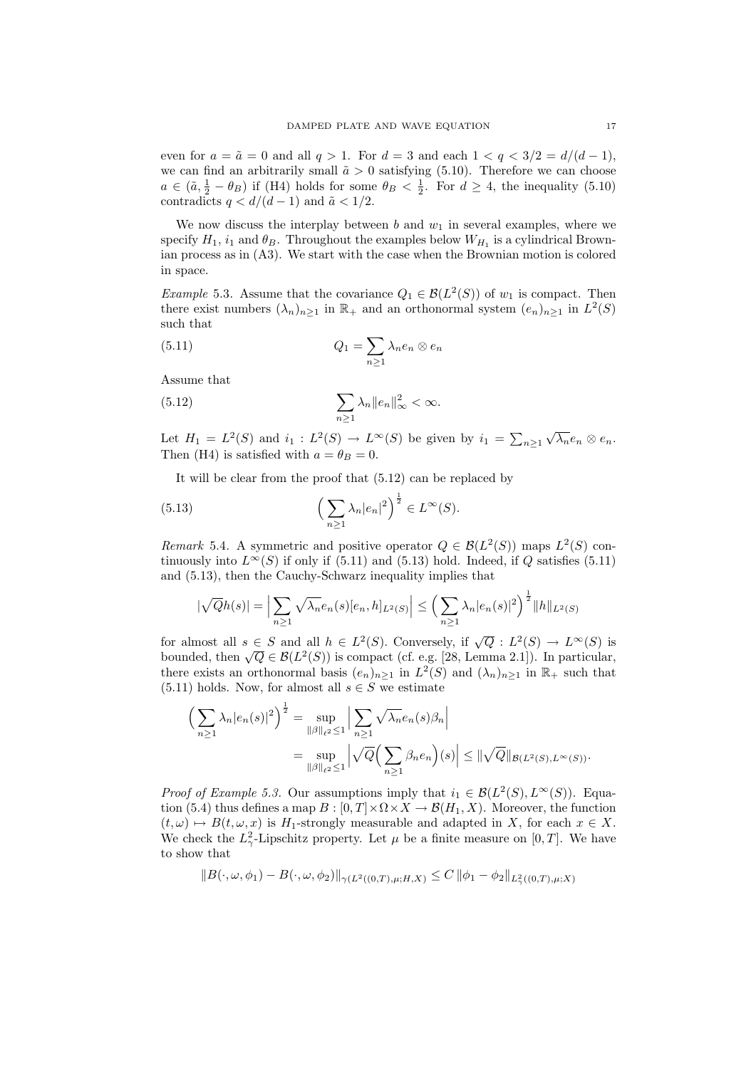even for  $a = \tilde{a} = 0$  and all  $q > 1$ . For  $d = 3$  and each  $1 < q < 3/2 = d/(d-1)$ , we can find an arbitrarily small  $\tilde{a} > 0$  satisfying (5.10). Therefore we can choose  $a \in (\tilde{a}, \frac{1}{2} - \theta_B)$  if (H4) holds for some  $\theta_B < \frac{1}{2}$ . For  $d \geq 4$ , the inequality (5.10) contradicts  $q < d/(d-1)$  and  $\tilde{a} < 1/2$ .

We now discuss the interplay between  $b$  and  $w_1$  in several examples, where we specify  $H_1$ ,  $i_1$  and  $\theta_B$ . Throughout the examples below  $W_{H_1}$  is a cylindrical Brownian process as in (A3). We start with the case when the Brownian motion is colored in space.

*Example* 5.3. Assume that the covariance  $Q_1 \in \mathcal{B}(L^2(S))$  of  $w_1$  is compact. Then there exist numbers  $(\lambda_n)_{n\geq 1}$  in  $\mathbb{R}_+$  and an orthonormal system  $(e_n)_{n\geq 1}$  in  $L^2(S)$ such that

(5.11) 
$$
Q_1 = \sum_{n\geq 1} \lambda_n e_n \otimes e_n
$$

Assume that

(5.12) 
$$
\sum_{n\geq 1} \lambda_n \|e_n\|_{\infty}^2 < \infty.
$$

Let  $H_1 = L^2(S)$  and  $i_1 : L^2(S) \to L^{\infty}(S)$  be given by  $i_1 = \sum_{n \geq 1}$  $\sqrt{\lambda_n}e_n\otimes e_n$ . Then (H4) is satisfied with  $a = \theta_B = 0$ .

It will be clear from the proof that (5.12) can be replaced by

(5.13) 
$$
\left(\sum_{n\geq 1} \lambda_n |e_n|^2\right)^{\frac{1}{2}} \in L^{\infty}(S).
$$

Remark 5.4. A symmetric and positive operator  $Q \in \mathcal{B}(L^2(S))$  maps  $L^2(S)$  continuously into  $L^{\infty}(S)$  if only if (5.11) and (5.13) hold. Indeed, if Q satisfies (5.11) and (5.13), then the Cauchy-Schwarz inequality implies that

$$
|\sqrt{Q}h(s)| = \Big|\sum_{n\geq 1} \sqrt{\lambda_n} e_n(s) [e_n, h]_{L^2(S)}\Big| \leq \Big(\sum_{n\geq 1} \lambda_n |e_n(s)|^2\Big)^{\frac{1}{2}} \|h\|_{L^2(S)}
$$

for almost all  $s \in S$  and all  $h \in L^2(S)$ . Conversely, if  $\sqrt{Q}: L^2(S) \to L^{\infty}(S)$  is bounded, then  $\sqrt{Q} \in \mathcal{B}(L^2(S))$  is compact (cf. e.g. [28, Lemma 2.1]). In particular, there exists an orthonormal basis  $(e_n)_{n\geq 1}$  in  $L^2(S)$  and  $(\lambda_n)_{n\geq 1}$  in  $\mathbb{R}_+$  such that (5.11) holds. Now, for almost all  $s \in S$  we estimate

$$
\left(\sum_{n\geq 1} \lambda_n |e_n(s)|^2\right)^{\frac{1}{2}} = \sup_{\|\beta\|_{\ell^2} \leq 1} \left|\sum_{n\geq 1} \sqrt{\lambda_n} e_n(s)\beta_n\right|
$$
  
= 
$$
\sup_{\|\beta\|_{\ell^2} \leq 1} \left|\sqrt{Q}\left(\sum_{n\geq 1} \beta_n e_n\right)(s)\right| \leq \|\sqrt{Q}\|_{\mathcal{B}(L^2(S), L^{\infty}(S))}.
$$

*Proof of Example 5.3.* Our assumptions imply that  $i_1 \in \mathcal{B}(L^2(S), L^{\infty}(S))$ . Equation (5.4) thus defines a map  $B : [0, T] \times \Omega \times X \to \mathcal{B}(H_1, X)$ . Moreover, the function  $(t, \omega) \mapsto B(t, \omega, x)$  is  $H_1$ -strongly measurable and adapted in X, for each  $x \in X$ . We check the  $L^2_{\gamma}$ -Lipschitz property. Let  $\mu$  be a finite measure on [0, T]. We have to show that

$$
||B(\cdot,\omega,\phi_1) - B(\cdot,\omega,\phi_2)||_{\gamma(L^2((0,T),\mu;H,X)} \leq C ||\phi_1 - \phi_2||_{L^2(\mu;T),\mu;X)}
$$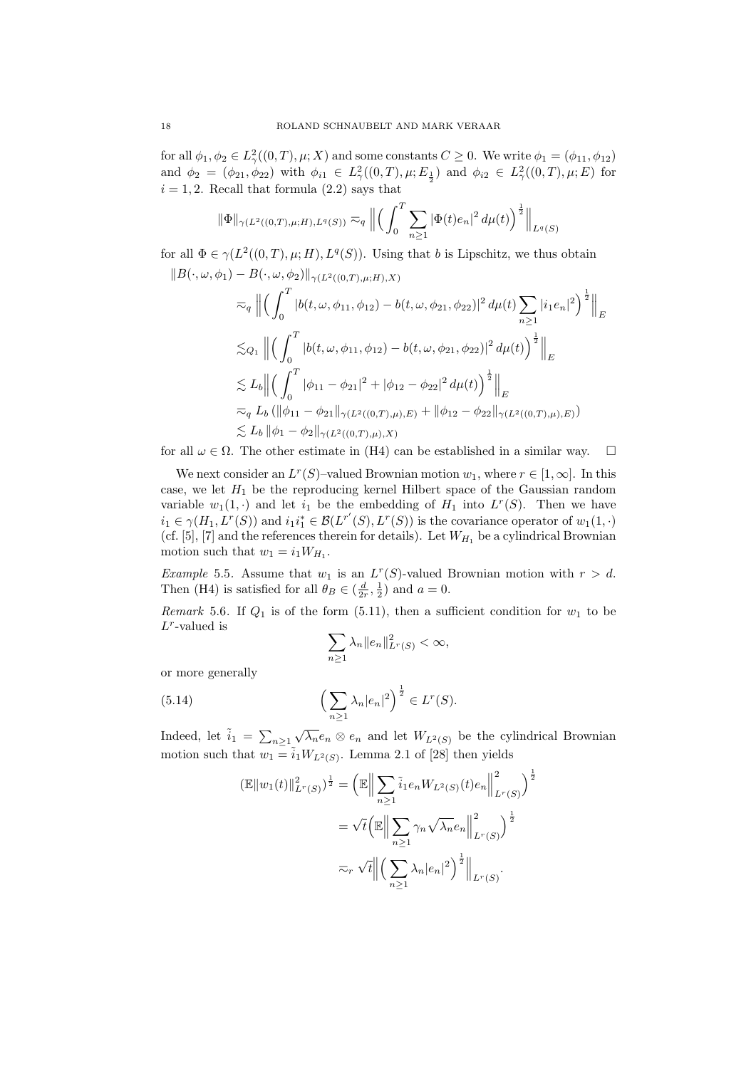for all  $\phi_1, \phi_2 \in L^2_\gamma((0,T), \mu; X)$  and some constants  $C \geq 0$ . We write  $\phi_1 = (\phi_{11}, \phi_{12})$ and  $\phi_2 = (\phi_{21}, \phi_{22})$  with  $\phi_{i1} \in L^2_\gamma((0,T), \mu; E_{\frac{1}{2}})$  and  $\phi_{i2} \in L^2_\gamma((0,T), \mu; E)$  for  $i = 1, 2$ . Recall that formula  $(2.2)$  says that

$$
\|\Phi\|_{\gamma(L^{2}((0,T),\mu;H),L^{q}(S))} \eqsim_{q} \left\| \left( \int_{0}^{T} \sum_{n\geq 1} |\Phi(t)e_{n}|^{2} d\mu(t) \right)^{\frac{1}{2}} \right\|_{L^{q}(S)}
$$

for all  $\Phi \in \gamma(L^2((0,T),\mu;H), L^q(S))$ . Using that b is Lipschitz, we thus obtain

$$
\|B(\cdot,\omega,\phi_1) - B(\cdot,\omega,\phi_2)\|_{\gamma(L^2((0,T),\mu;H),X)}
$$
  
\n
$$
\approx_q \left\| \left( \int_0^T |b(t,\omega,\phi_{11},\phi_{12}) - b(t,\omega,\phi_{21},\phi_{22})|^2 d\mu(t) \sum_{n\geq 1} |i_1 e_n|^2 \right)^{\frac{1}{2}} \right\|_E
$$
  
\n
$$
\lesssim_{Q_1} \left\| \left( \int_0^T |b(t,\omega,\phi_{11},\phi_{12}) - b(t,\omega,\phi_{21},\phi_{22})|^2 d\mu(t) \right)^{\frac{1}{2}} \right\|_E
$$
  
\n
$$
\lesssim L_b \left\| \left( \int_0^T |\phi_{11} - \phi_{21}|^2 + |\phi_{12} - \phi_{22}|^2 d\mu(t) \right)^{\frac{1}{2}} \right\|_E
$$
  
\n
$$
\approx_q L_b \left( \|\phi_{11} - \phi_{21}\|_{\gamma(L^2((0,T),\mu),E)} + \|\phi_{12} - \phi_{22}\|_{\gamma(L^2((0,T),\mu),E)} \right)
$$
  
\n
$$
\lesssim L_b \left\| \phi_1 - \phi_2\|_{\gamma(L^2((0,T),\mu),X)}
$$

for all  $\omega \in \Omega$ . The other estimate in (H4) can be established in a similar way.  $\square$ 

We next consider an  $L^r(S)$ -valued Brownian motion  $w_1$ , where  $r \in [1,\infty]$ . In this case, we let  $H_1$  be the reproducing kernel Hilbert space of the Gaussian random variable  $w_1(1, \cdot)$  and let  $i_1$  be the embedding of  $H_1$  into  $L^r(S)$ . Then we have  $i_1 \in \gamma(H_1, L^r(S))$  and  $i_1 i_1^* \in \mathcal{B}(L^{r'}(S), L^r(S))$  is the covariance operator of  $w_1(1, \cdot)$ (cf. [5], [7] and the references therein for details). Let  $W_{H_1}$  be a cylindrical Brownian motion such that  $w_1 = i_1 W_{H_1}$ .

*Example* 5.5. Assume that  $w_1$  is an  $L^r(S)$ -valued Brownian motion with  $r > d$ . Then (H4) is satisfied for all  $\theta_B \in (\frac{d}{2r}, \frac{1}{2})$  and  $a = 0$ .

Remark 5.6. If  $Q_1$  is of the form (5.11), then a sufficient condition for  $w_1$  to be  $L^r$ -valued is

$$
\sum_{n\geq 1} \lambda_n ||e_n||_{L^r(S)}^2 < \infty,
$$

or more generally

(5.14) 
$$
\left(\sum_{n\geq 1} \lambda_n |e_n|^2\right)^{\frac{1}{2}} \in L^r(S).
$$

Indeed, let  $\tilde{i}_1 = \sum_{n \geq 1}$  $\sqrt{\lambda_n}e_n \otimes e_n$  and let  $W_{L^2(S)}$  be the cylindrical Brownian motion such that  $w_1 = \tilde{i}_1 W_{L^2(S)}$ . Lemma 2.1 of [28] then yields

$$
(\mathbb{E}||w_1(t)||_{L^r(S)}^2)^{\frac{1}{2}} = \left(\mathbb{E}\Big\|\sum_{n\geq 1} \tilde{i}_1 e_n W_{L^2(S)}(t) e_n\Big\|_{L^r(S)}^2\right)^{\frac{1}{2}}
$$
  

$$
= \sqrt{t} \left(\mathbb{E}\Big\|\sum_{n\geq 1} \gamma_n \sqrt{\lambda_n} e_n\Big\|_{L^r(S)}^2\right)^{\frac{1}{2}}
$$
  

$$
\approx_r \sqrt{t} \Big\|\Big(\sum_{n\geq 1} \lambda_n |e_n|^2\Big)^{\frac{1}{2}}\Big\|_{L^r(S)}.
$$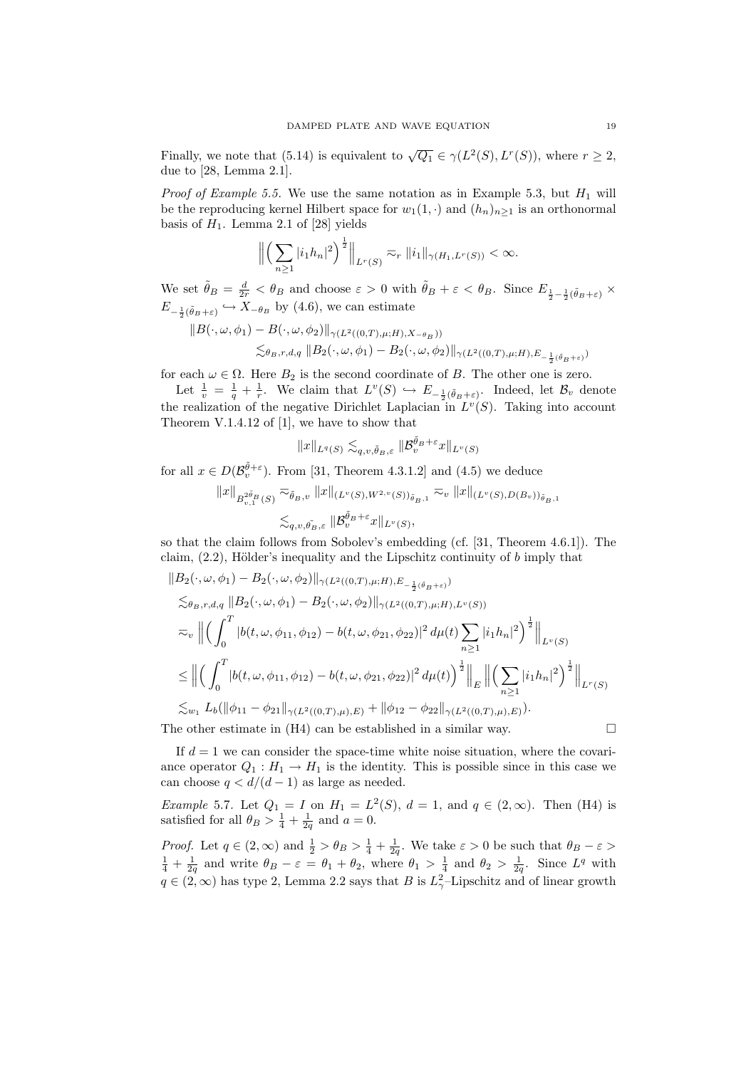Finally, we note that (5.14) is equivalent to  $\sqrt{Q_1} \in \gamma(L^2(S), L^r(S))$ , where  $r \geq 2$ , due to [28, Lemma 2.1].

*Proof of Example 5.5.* We use the same notation as in Example 5.3, but  $H_1$  will be the reproducing kernel Hilbert space for  $w_1(1, \cdot)$  and  $(h_n)_{n\geq 1}$  is an orthonormal basis of  $H_1$ . Lemma 2.1 of [28] yields

$$
\left\| \left( \sum_{n\geq 1} |i_1h_n|^2 \right)^{\frac{1}{2}} \right\|_{L^r(S)} \eqsim_r \|i_1\|_{\gamma(H_1, L^r(S))} < \infty.
$$

We set  $\tilde{\theta}_B = \frac{d}{2r} < \theta_B$  and choose  $\varepsilon > 0$  with  $\tilde{\theta}_B + \varepsilon < \theta_B$ . Since  $E_{\frac{1}{2} - \frac{1}{2}(\tilde{\theta}_B + \varepsilon)} \times$  $E_{-\frac{1}{2}(\tilde{\theta}_B+\varepsilon)} \hookrightarrow X_{-\theta_B}$  by (4.6), we can estimate

$$
||B(\cdot,\omega,\phi_1)-B(\cdot,\omega,\phi_2)||_{\gamma(L^2((0,T),\mu;H),X_{-\theta_B}))}
$$
  

$$
\lesssim_{\theta_B,r,d,q} ||B_2(\cdot,\omega,\phi_1)-B_2(\cdot,\omega,\phi_2)||_{\gamma(L^2((0,T),\mu;H),E_{-\frac{1}{2}(\tilde{\theta}_B+\varepsilon)})}
$$

for each  $\omega \in \Omega$ . Here  $B_2$  is the second coordinate of B. The other one is zero.

Let  $\frac{1}{v} = \frac{1}{q} + \frac{1}{r}$ . We claim that  $L^v(S) \hookrightarrow E_{-\frac{1}{2}(\tilde{\theta}_B + \varepsilon)}$ . Indeed, let  $\mathcal{B}_v$  denote the realization of the negative Dirichlet Laplacian in  $L^v(S)$ . Taking into account Theorem V.1.4.12 of [1], we have to show that

$$
\|x\|_{L^q(S)}\lesssim_{q,v,\tilde{\theta}_B,\varepsilon}\|\mathcal{B}^{\tilde{\theta}_B+\varepsilon}_vx\|_{L^v(S)}
$$

for all  $x \in D(\mathcal{B}_{v}^{\tilde{\theta}+\varepsilon})$ . From [31, Theorem 4.3.1.2] and (4.5) we deduce

$$
||x||_{B^{2\tilde{\theta}_B}_{v,1}(S)} \overline{\sim}_{\tilde{\theta}_B,v} ||x||_{(L^v(S),W^{2,v}(S))_{\tilde{\theta}_B,1}} \overline{\sim}_v ||x||_{(L^v(S),D(B_v))_{\tilde{\theta}_B,1}}
$$
  

$$
\lesssim_{q,v,\tilde{\theta}_B,\varepsilon} ||B^{\tilde{\theta}_B+\varepsilon}_v x||_{L^v(S)},
$$

so that the claim follows from Sobolev's embedding (cf. [31, Theorem 4.6.1]). The claim,  $(2.2)$ , Hölder's inequality and the Lipschitz continuity of b imply that

$$
\|B_{2}(\cdot,\omega,\phi_{1}) - B_{2}(\cdot,\omega,\phi_{2})\|_{\gamma(L^{2}((0,T),\mu;H),E_{-\frac{1}{2}(\tilde{\theta}_{B}+\varepsilon)})}\n\n\lesssim_{\theta_{B},r,d,q} \|B_{2}(\cdot,\omega,\phi_{1}) - B_{2}(\cdot,\omega,\phi_{2})\|_{\gamma(L^{2}((0,T),\mu;H),L^{v}(S))}\n\n\approx_{v} \left\| \left( \int_{0}^{T} |b(t,\omega,\phi_{11},\phi_{12}) - b(t,\omega,\phi_{21},\phi_{22})|^{2} d\mu(t) \sum_{n\geq 1} |i_{1}h_{n}|^{2} \right)^{\frac{1}{2}} \right\|_{L^{v}(S)}\n\n\leq \left\| \left( \int_{0}^{T} |b(t,\omega,\phi_{11},\phi_{12}) - b(t,\omega,\phi_{21},\phi_{22})|^{2} d\mu(t) \right)^{\frac{1}{2}} \right\|_{E} \left\| \left( \sum_{n\geq 1} |i_{1}h_{n}|^{2} \right)^{\frac{1}{2}} \right\|_{L^{r}(S)}\n\n\lesssim_{w_{1}} L_{b}(\|\phi_{11} - \phi_{21}\|_{\gamma(L^{2}((0,T),\mu),E)} + \|\phi_{12} - \phi_{22}\|_{\gamma(L^{2}((0,T),\mu),E)}).
$$

The other estimate in  $(H4)$  can be established in a similar way.

If  $d = 1$  we can consider the space-time white noise situation, where the covariance operator  $Q_1 : H_1 \to H_1$  is the identity. This is possible since in this case we can choose  $q < d/(d-1)$  as large as needed.

*Example* 5.7. Let  $Q_1 = I$  on  $H_1 = L^2(S)$ ,  $d = 1$ , and  $q \in (2, \infty)$ . Then (H4) is satisfied for all  $\theta_B > \frac{1}{4} + \frac{1}{2q}$  and  $a = 0$ .

*Proof.* Let  $q \in (2,\infty)$  and  $\frac{1}{2} > \theta_B > \frac{1}{4} + \frac{1}{2q}$ . We take  $\varepsilon > 0$  be such that  $\theta_B - \varepsilon >$  $\frac{1}{4} + \frac{1}{2q}$  and write  $\theta_B - \varepsilon = \theta_1 + \theta_2$ , where  $\theta_1 > \frac{1}{4}$  and  $\theta_2 > \frac{1}{2q}$ . Since  $L^q$  with  $q \in (2,\infty)$  has type 2, Lemma 2.2 says that B is  $L^2_{\gamma}$ -Lipschitz and of linear growth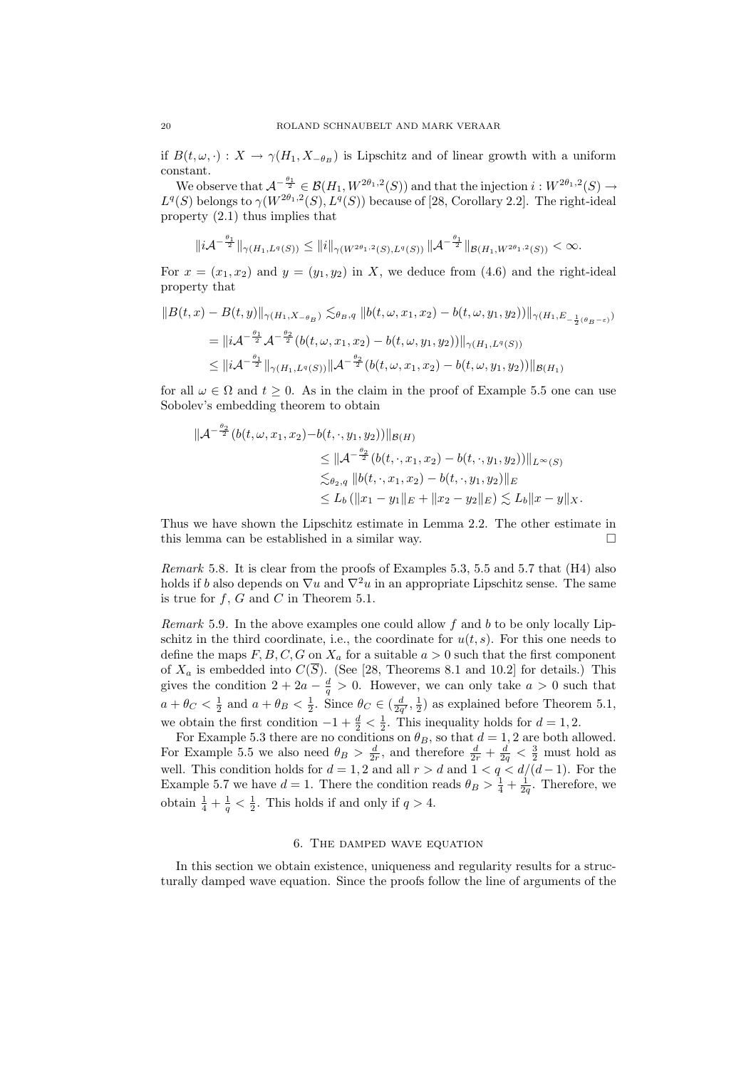if  $B(t, \omega, \cdot) : X \to \gamma(H_1, X_{-\theta_B})$  is Lipschitz and of linear growth with a uniform constant.

We observe that  $\mathcal{A}^{-\frac{\theta_1}{2}} \in \mathcal{B}(H_1, W^{2\theta_1,2}(S))$  and that the injection  $i: W^{2\theta_1,2}(S) \to$  $L^q(S)$  belongs to  $\gamma(W^{2\theta_1,2}(S), L^q(S))$  because of [28, Corollary 2.2]. The right-ideal property (2.1) thus implies that

$$
||i\mathcal{A}^{-\frac{\theta_1}{2}}||_{\gamma(H_1,L^q(S))} \leq ||i||_{\gamma(W^{2\theta_1,2}(S),L^q(S))} ||\mathcal{A}^{-\frac{\theta_1}{2}}||_{\mathcal{B}(H_1,W^{2\theta_1,2}(S))} < \infty.
$$

For  $x = (x_1, x_2)$  and  $y = (y_1, y_2)$  in X, we deduce from (4.6) and the right-ideal property that

$$
||B(t,x) - B(t,y)||_{\gamma(H_1, X - \theta_B)} \lesssim_{\theta_B, q} ||b(t, \omega, x_1, x_2) - b(t, \omega, y_1, y_2)||_{\gamma(H_1, E_{-\frac{1}{2}(\theta_B - \varepsilon)})}
$$
  
=  $||iA^{-\frac{\theta_1}{2}}A^{-\frac{\theta_2}{2}}(b(t, \omega, x_1, x_2) - b(t, \omega, y_1, y_2))||_{\gamma(H_1, L^q(S))}$   
 $\leq ||iA^{-\frac{\theta_1}{2}}||_{\gamma(H_1, L^q(S))} ||A^{-\frac{\theta_2}{2}}(b(t, \omega, x_1, x_2) - b(t, \omega, y_1, y_2))||_{\mathcal{B}(H_1)}$ 

for all  $\omega \in \Omega$  and  $t \geq 0$ . As in the claim in the proof of Example 5.5 one can use Sobolev's embedding theorem to obtain

$$
\|\mathcal{A}^{-\frac{\theta_2}{2}}(b(t,\omega,x_1,x_2)-b(t,\cdot,y_1,y_2))\|_{\mathcal{B}(H)}
$$
  
\n
$$
\leq \|\mathcal{A}^{-\frac{\theta_2}{2}}(b(t,\cdot,x_1,x_2)-b(t,\cdot,y_1,y_2))\|_{L^{\infty}(S)}
$$
  
\n
$$
\lesssim_{\theta_2,q} \|b(t,\cdot,x_1,x_2)-b(t,\cdot,y_1,y_2)\|_{E}
$$
  
\n
$$
\leq L_b (\|x_1-y_1\|_{E} + \|x_2-y_2\|_{E}) \lesssim L_b \|x-y\|_{X}.
$$

Thus we have shown the Lipschitz estimate in Lemma 2.2. The other estimate in this lemma can be established in a similar way.

Remark 5.8. It is clear from the proofs of Examples 5.3, 5.5 and 5.7 that (H4) also holds if b also depends on  $\nabla u$  and  $\nabla^2 u$  in an appropriate Lipschitz sense. The same is true for  $f, G$  and  $C$  in Theorem 5.1.

Remark 5.9. In the above examples one could allow  $f$  and  $b$  to be only locally Lipschitz in the third coordinate, i.e., the coordinate for  $u(t, s)$ . For this one needs to define the maps  $F, B, C, G$  on  $X_a$  for a suitable  $a > 0$  such that the first component of  $X_a$  is embedded into  $C(S)$ . (See [28, Theorems 8.1 and 10.2] for details.) This gives the condition  $2 + 2a - \frac{d}{q} > 0$ . However, we can only take  $a > 0$  such that  $a + \theta_C < \frac{1}{2}$  and  $a + \theta_B < \frac{1}{2}$ . Since  $\theta_C \in (\frac{d}{2q'}, \frac{1}{2})$  as explained before Theorem 5.1, we obtain the first condition  $-1 + \frac{d}{2} < \frac{1}{2}$ . This inequality holds for  $d = 1, 2$ .

For Example 5.3 there are no conditions on  $\theta_B$ , so that  $d = 1, 2$  are both allowed. For Example 5.5 we also need  $\theta_B > \frac{d}{2r}$ , and therefore  $\frac{d}{2r} + \frac{d}{2q} < \frac{3}{2}$  must hold as well. This condition holds for  $d = 1, 2$  and all  $r > d$  and  $1 < q < d/(d-1)$ . For the Example 5.7 we have  $d = 1$ . There the condition reads  $\theta_B > \frac{1}{4} + \frac{1}{2q}$ . Therefore, we obtain  $\frac{1}{4} + \frac{1}{q} < \frac{1}{2}$ . This holds if and only if  $q > 4$ .

### 6. The damped wave equation

In this section we obtain existence, uniqueness and regularity results for a structurally damped wave equation. Since the proofs follow the line of arguments of the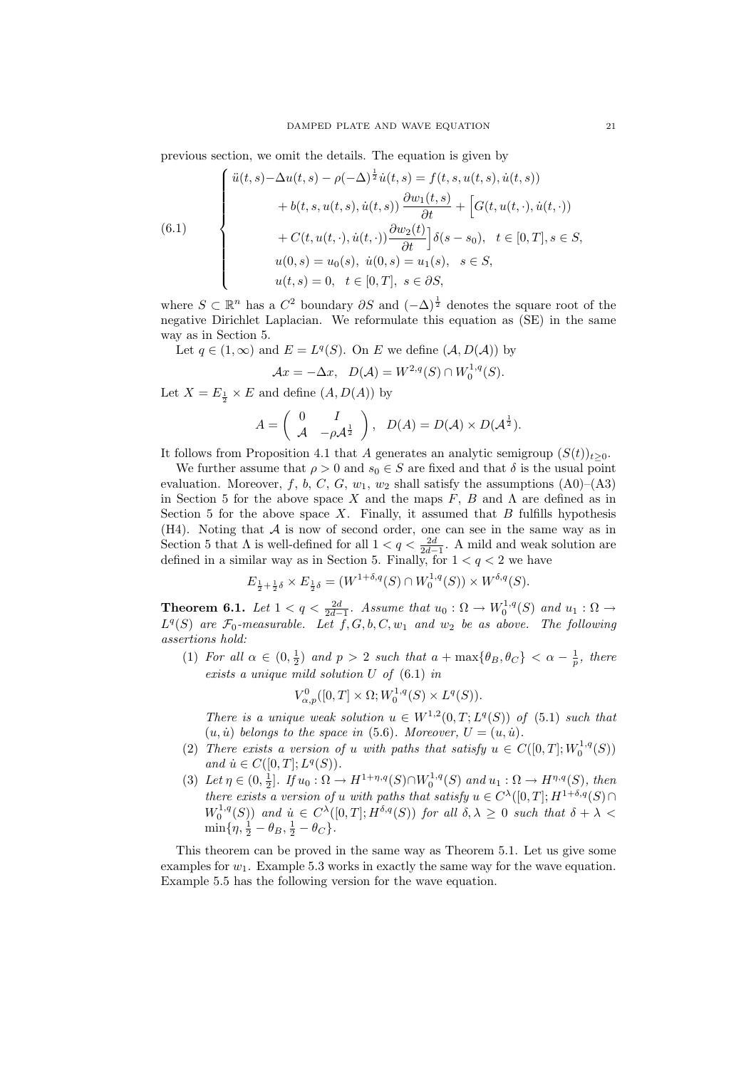previous section, we omit the details. The equation is given by

(6.1)  

$$
\begin{cases}\n\ddot{u}(t,s) - \Delta u(t,s) - \rho(-\Delta)^{\frac{1}{2}}\dot{u}(t,s) = f(t,s,u(t,s),\dot{u}(t,s)) \\
+ b(t,s,u(t,s),\dot{u}(t,s)) \frac{\partial w_1(t,s)}{\partial t} + \left[G(t,u(t,\cdot),\dot{u}(t,\cdot))\right. \\
+ C(t,u(t,\cdot),\dot{u}(t,\cdot)) \frac{\partial w_2(t)}{\partial t}\right]\delta(s-s_0), \quad t \in [0,T], s \in S, \\
u(0,s) = u_0(s), \quad \dot{u}(0,s) = u_1(s), \quad s \in S, \\
u(t,s) = 0, \quad t \in [0,T], s \in \partial S,\n\end{cases}
$$

where  $S \subset \mathbb{R}^n$  has a  $C^2$  boundary  $\partial S$  and  $(-\Delta)^{\frac{1}{2}}$  denotes the square root of the negative Dirichlet Laplacian. We reformulate this equation as (SE) in the same way as in Section 5.

Let 
$$
q \in (1, \infty)
$$
 and  $E = L^q(S)$ . On E we define  $(A, D(A))$  by  

$$
Ax = -\Delta x, \quad D(A) = W^{2,q}(S) \cap W_0^{1,q}(S).
$$

Let  $X = E_{\frac{1}{2}} \times E$  and define  $(A, D(A))$  by

$$
A = \begin{pmatrix} 0 & I \\ \mathcal{A} & -\rho \mathcal{A}^{\frac{1}{2}} \end{pmatrix}, \quad D(A) = D(\mathcal{A}) \times D(\mathcal{A}^{\frac{1}{2}}).
$$

It follows from Proposition 4.1 that A generates an analytic semigroup  $(S(t))_{t\geq0}$ .

We further assume that  $\rho > 0$  and  $s_0 \in S$  are fixed and that  $\delta$  is the usual point evaluation. Moreover, f, b, C, G,  $w_1$ ,  $w_2$  shall satisfy the assumptions (A0)–(A3) in Section 5 for the above space X and the maps  $F, B$  and  $\Lambda$  are defined as in Section 5 for the above space  $X$ . Finally, it assumed that  $B$  fulfills hypothesis (H4). Noting that A is now of second order, one can see in the same way as in Section 5 that  $\Lambda$  is well-defined for all  $1 < q < \frac{2d}{2d-1}$ . A mild and weak solution are defined in a similar way as in Section 5. Finally, for  $1 < q < 2$  we have

$$
E_{\frac{1}{2} + \frac{1}{2}\delta} \times E_{\frac{1}{2}\delta} = (W^{1+\delta,q}(S) \cap W^{1,q}_0(S)) \times W^{\delta,q}(S).
$$

**Theorem 6.1.** Let  $1 < q < \frac{2d}{2d-1}$ . Assume that  $u_0 : \Omega \to W_0^{1,q}(S)$  and  $u_1 : \Omega \to$  $L^q(S)$  are  $\mathcal{F}_0$ -measurable. Let  $f, G, b, C, w_1$  and  $w_2$  be as above. The following assertions hold:

(1) For all  $\alpha \in (0, \frac{1}{2})$  and  $p > 2$  such that  $a + \max\{\theta_B, \theta_C\} < \alpha - \frac{1}{p}$ , there exists a unique mild solution U of (6.1) in

$$
V^0_{\alpha,p}([0,T] \times \Omega; W_0^{1,q}(S) \times L^q(S)).
$$

There is a unique weak solution  $u \in W^{1,2}(0,T;L^q(S))$  of  $(5.1)$  such that  $(u, \dot{u})$  belongs to the space in (5.6). Moreover,  $U = (u, \dot{u})$ .

- (2) There exists a version of u with paths that satisfy  $u \in C([0,T];W_0^{1,q}(S))$ and  $\dot{u} \in C([0, T]; L^q(S)).$
- (3) Let  $\eta \in (0, \frac{1}{2}]$ . If  $u_0 : \Omega \to H^{1+\eta,q}(S) \cap W_0^{1,q}(S)$  and  $u_1 : \Omega \to H^{\eta,q}(S)$ , then there exists a version of u with paths that satisfy  $u \in C^{\lambda}([0,T];H^{1+\delta,q}(S) \cap$  $W_0^{1,q}(S)$ ) and  $u \in C^{\lambda}([0,T]; H^{\delta,q}(S))$  for all  $\delta, \lambda \geq 0$  such that  $\delta + \lambda <$  $\min\{\eta, \frac{1}{2} - \theta_B, \frac{1}{2} - \theta_C\}.$

This theorem can be proved in the same way as Theorem 5.1. Let us give some examples for  $w_1$ . Example 5.3 works in exactly the same way for the wave equation. Example 5.5 has the following version for the wave equation.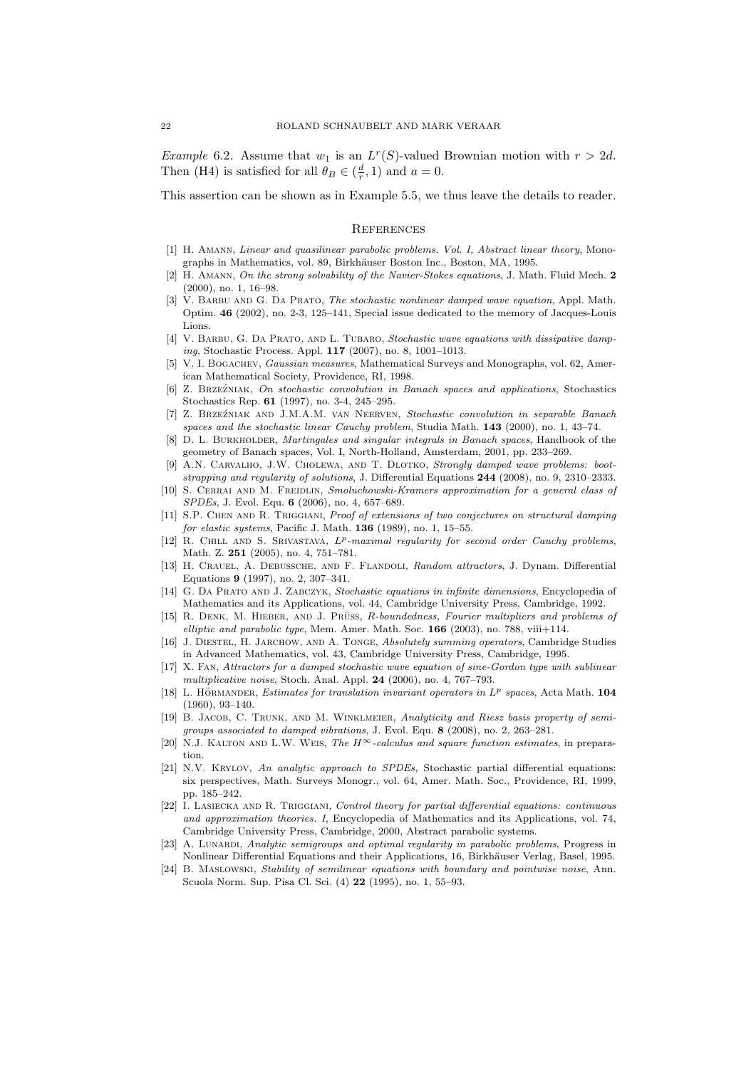*Example* 6.2. Assume that  $w_1$  is an  $L^r(S)$ -valued Brownian motion with  $r > 2d$ . Then (H4) is satisfied for all  $\theta_B \in (\frac{d}{r}, 1)$  and  $a = 0$ .

This assertion can be shown as in Example 5.5, we thus leave the details to reader.

#### **REFERENCES**

- [1] H. Amann, Linear and quasilinear parabolic problems. Vol. I, Abstract linear theory, Monographs in Mathematics, vol. 89, Birkhäuser Boston Inc., Boston, MA, 1995.
- [2] H. Amann, On the strong solvability of the Navier-Stokes equations, J. Math. Fluid Mech. 2 (2000), no. 1, 16–98.
- [3] V. BARBU AND G. DA PRATO, The stochastic nonlinear damped wave equation, Appl. Math. Optim. 46 (2002), no. 2-3, 125–141, Special issue dedicated to the memory of Jacques-Louis Lions.
- [4] V. BARBU, G. DA PRATO, AND L. TUBARO, Stochastic wave equations with dissipative damping, Stochastic Process. Appl. 117 (2007), no. 8, 1001–1013.
- [5] V. I. BOGACHEV, Gaussian measures, Mathematical Surveys and Monographs, vol. 62, American Mathematical Society, Providence, RI, 1998.
- [6] Z. BRZEŹNIAK, On stochastic convolution in Banach spaces and applications, Stochastics Stochastics Rep. 61 (1997), no. 3-4, 245–295.
- [7] Z. Brze´zniak and J.M.A.M. van Neerven, Stochastic convolution in separable Banach spaces and the stochastic linear Cauchy problem, Studia Math.  $143$  (2000), no. 1, 43–74.
- [8] D. L. BURKHOLDER, Martingales and singular integrals in Banach spaces, Handbook of the geometry of Banach spaces, Vol. I, North-Holland, Amsterdam, 2001, pp. 233–269.
- [9] A.N. CARVALHO, J.W. CHOLEWA, AND T. DLOTKO, Strongly damped wave problems: bootstrapping and regularity of solutions, J. Differential Equations 244 (2008), no. 9, 2310–2333.
- [10] S. CERRAI AND M. FREIDLIN, Smoluchowski-Kramers approximation for a general class of SPDEs, J. Evol. Equ. 6 (2006), no. 4, 657–689.
- [11] S.P. CHEN AND R. TRIGGIANI, Proof of extensions of two conjectures on structural damping for elastic systems, Pacific J. Math. 136 (1989), no. 1, 15–55.
- [12] R. CHILL AND S. SRIVASTAVA,  $L^p$ -maximal regularity for second order Cauchy problems, Math. Z. 251 (2005), no. 4, 751–781.
- [13] H. CRAUEL, A. DEBUSSCHE, AND F. FLANDOLI, Random attractors, J. Dynam. Differential Equations 9 (1997), no. 2, 307–341.
- [14] G. DA PRATO AND J. ZABCZYK, Stochastic equations in infinite dimensions, Encyclopedia of Mathematics and its Applications, vol. 44, Cambridge University Press, Cambridge, 1992.
- [15] R. DENK, M. HIEBER, AND J. PRÜSS, R-boundedness, Fourier multipliers and problems of elliptic and parabolic type, Mem. Amer. Math. Soc.  $166$  (2003), no. 788, viii+114.
- [16] J. Diestel, H. Jarchow, and A. Tonge, Absolutely summing operators, Cambridge Studies in Advanced Mathematics, vol. 43, Cambridge University Press, Cambridge, 1995.
- [17] X. Fan, Attractors for a damped stochastic wave equation of sine-Gordon type with sublinear multiplicative noise, Stoch. Anal. Appl. 24 (2006), no. 4, 767–793.
- [18] L. HÖRMANDER, Estimates for translation invariant operators in  $L^p$  spaces, Acta Math. 104 (1960), 93–140.
- [19] B. JACOB, C. TRUNK, AND M. WINKLMEIER, Analyticity and Riesz basis property of semigroups associated to damped vibrations, J. Evol. Equ. 8 (2008), no. 2, 263–281.
- [20] N.J. KALTON AND L.W. WEIS, The  $H^{\infty}$ -calculus and square function estimates, in preparation.
- [21] N.V. KRYLOV, An analytic approach to SPDEs, Stochastic partial differential equations: six perspectives, Math. Surveys Monogr., vol. 64, Amer. Math. Soc., Providence, RI, 1999, pp. 185–242.
- [22] I. LASIECKA AND R. TRIGGIANI, Control theory for partial differential equations: continuous and approximation theories. I, Encyclopedia of Mathematics and its Applications, vol. 74, Cambridge University Press, Cambridge, 2000, Abstract parabolic systems.
- [23] A. LUNARDI, Analytic semigroups and optimal regularity in parabolic problems, Progress in Nonlinear Differential Equations and their Applications, 16, Birkhäuser Verlag, Basel, 1995.
- [24] B. MASLOWSKI, Stability of semilinear equations with boundary and pointwise noise, Ann. Scuola Norm. Sup. Pisa Cl. Sci. (4) 22 (1995), no. 1, 55–93.